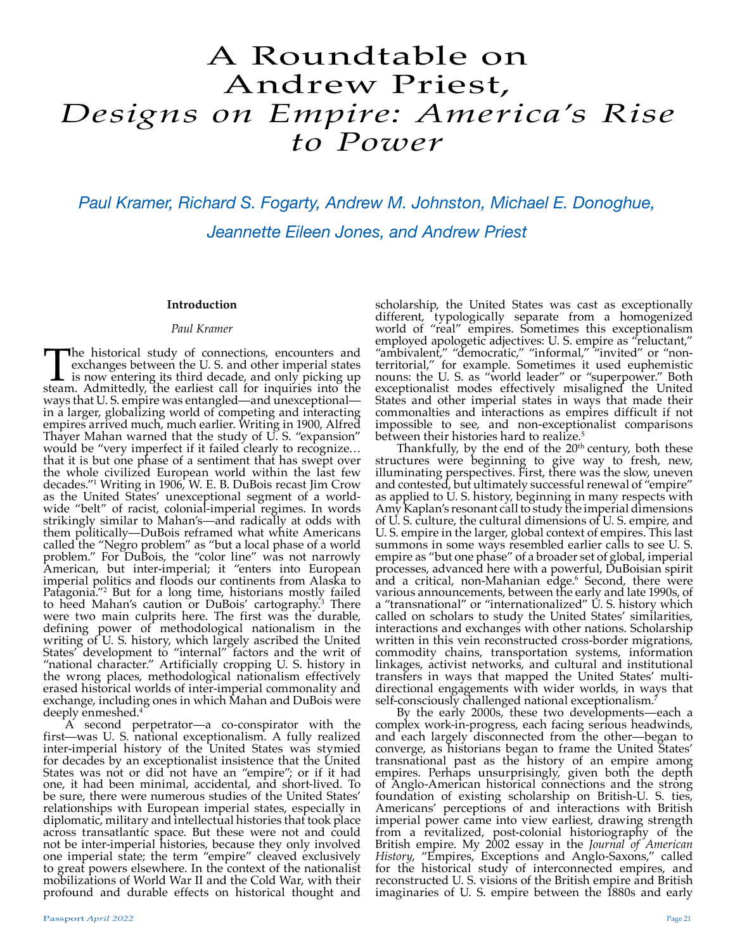# A Roundtable on Andrew Priest, *Designs on Empire: America's Rise to Power*

*Paul Kramer, Richard S. Fogarty, Andrew M. Johnston, Michael E. Donoghue, Jeannette Eileen Jones, and Andrew Priest*

# **Introduction**

## *Paul Kramer*

The historical study of connections, encounters and exchanges between the U.S. and other imperial states is now entering its third decade, and only picking up steam. Admittedly, the earliest call for inquiries into the exchanges between the U. S. and other imperial states is now entering its third decade, and only picking up steam. Admittedly, the earliest call for inquiries into the ways that U. S. empire was entangled—and unexceptional in a larger, globalizing world of competing and interacting empires arrived much, much earlier. Writing in 1900, Alfred Thayer Mahan warned that the study of U. S. "expansion" would be "very imperfect if it failed clearly to recognize... that it is but one phase of a sentiment that has swept over the whole civilized European world within the last few decades."1 Writing in 1906, W. E. B. DuBois recast Jim Crow as the United States' unexceptional segment of a worldwide "belt" of racist, colonial-imperial regimes. In words strikingly similar to Mahan's—and radically at odds with them politically—DuBois reframed what white Americans called the "Negro problem" as "but a local phase of a world problem." For DuBois, the "color line" was not narrowly American, but inter-imperial; it "enters into European imperial politics and floods our continents from Alaska to Patagonia."2 But for a long time, historians mostly failed to heed Mahan's caution or DuBois' cartography.3 There were two main culprits here. The first was the durable, defining power of methodological nationalism in the writing of U. S. history, which largely ascribed the United States' development to "internal" factors and the writ of "national character." Artificially cropping U. S. history in the wrong places, methodological nationalism effectively erased historical worlds of inter-imperial commonality and exchange, including ones in which Mahan and DuBois were deeply enmeshed.<sup>4</sup>

A second perpetrator—a co-conspirator with the first—was U. S. national exceptionalism. A fully realized inter-imperial history of the United States was stymied for decades by an exceptionalist insistence that the United States was not or did not have an "empire"; or if it had one, it had been minimal, accidental, and short-lived. To be sure, there were numerous studies of the United States' relationships with European imperial states, especially in diplomatic, military and intellectual histories that took place across transatlantic space. But these were not and could not be inter-imperial histories, because they only involved one imperial state; the term "empire" cleaved exclusively to great powers elsewhere. In the context of the nationalist mobilizations of World War II and the Cold War, with their profound and durable effects on historical thought and

scholarship, the United States was cast as exceptionally different, typologically separate from a homogenized world of "real" empires. Sometimes this exceptionalism employed apologetic adjectives: U. S. empire as "reluctant," "ambivalent," "democratic," "informal," "invited" or "nonterritorial," for example. Sometimes it used euphemistic nouns: the U. S. as "world leader" or "superpower." Both exceptionalist modes effectively misaligned the United States and other imperial states in ways that made their commonalties and interactions as empires difficult if not impossible to see, and non-exceptionalist comparisons between their histories hard to realize.<sup>5</sup>

Thankfully, by the end of the 20<sup>th</sup> century, both these structures were beginning to give way to fresh, new, illuminating perspectives. First, there was the slow, uneven and contested, but ultimately successful renewal of "empire" as applied to U. S. history, beginning in many respects with Amy Kaplan's resonant call to study the imperial dimensions of U. S. culture, the cultural dimensions of U. S. empire, and U. S. empire in the larger, global context of empires. This last summons in some ways resembled earlier calls to see U. S. empire as "but one phase" of a broader set of global, imperial processes, advanced here with a powerful, DuBoisian spirit and a critical, non-Mahanian edge.6 Second, there were various announcements, between the early and late 1990s, of a "transnational" or "internationalized" U. S. history which called on scholars to study the United States' similarities, interactions and exchanges with other nations. Scholarship written in this vein reconstructed cross-border migrations, commodity chains, transportation systems, information linkages, activist networks, and cultural and institutional transfers in ways that mapped the United States' multidirectional engagements with wider worlds, in ways that self-consciously challenged national exceptionalism.<sup>7</sup>

By the early 2000s, these two developments—each a complex work-in-progress, each facing serious headwinds, and each largely disconnected from the other—began to converge, as historians began to frame the United States' transnational past as the history of an empire among empires. Perhaps unsurprisingly, given both the depth of Anglo-American historical connections and the strong foundation of existing scholarship on British-U. S. ties, Americans' perceptions of and interactions with British imperial power came into view earliest, drawing strength from a revitalized, post-colonial historiography of the British empire. My 2002 essay in the *Journal of American History*, "Empires, Exceptions and Anglo-Saxons," called for the historical study of interconnected empires, and reconstructed U. S. visions of the British empire and British imaginaries of U. S. empire between the 1880s and early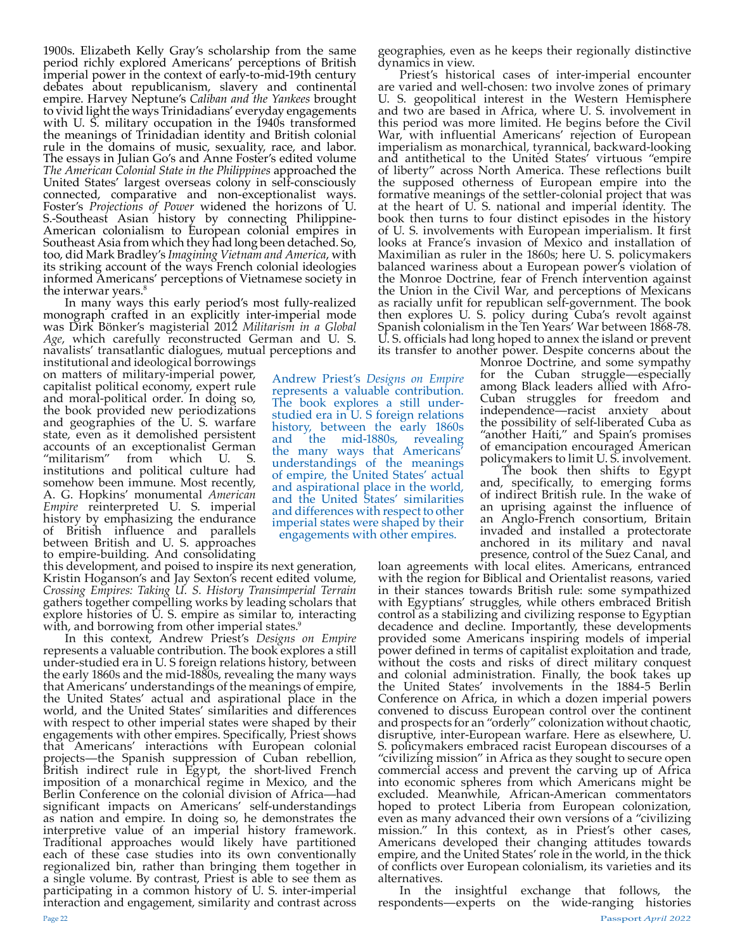1900s. Elizabeth Kelly Gray's scholarship from the same period richly explored Americans' perceptions of British imperial power in the context of early-to-mid-19th century debates about republicanism, slavery and continental empire. Harvey Neptune's *Caliban and the Yankees* brought to vivid light the ways Trinidadians' everyday engagements with U. S. military occupation in the 1940s transformed the meanings of Trinidadian identity and British colonial rule in the domains of music, sexuality, race, and labor. The essays in Julian Go's and Anne Foster's edited volume *The American Colonial State in the Philippines* approached the United States' largest overseas colony in self-consciously connected, comparative and non-exceptionalist ways. Foster's *Projections of Power* widened the horizons of U. S.-Southeast Asian history by connecting Philippine-American colonialism to European colonial empires in Southeast Asia from which they had long been detached. So, too, did Mark Bradley's *Imagining Vietnam and America*, with its striking account of the ways French colonial ideologies informed Americans' perceptions of Vietnamese society in the interwar years.<sup>8</sup>

In many ways this early period's most fully-realized monograph crafted in an explicitly inter-imperial mode was Dirk Bönker's magisterial 2012 *Militarism in a Global Age*, which carefully reconstructed German and U. S. navalists' transatlantic dialogues, mutual perceptions and

institutional and ideological borrowings on matters of military-imperial power, capitalist political economy, expert rule and moral-political order. In doing so, the book provided new periodizations and geographies of the U. S. warfare state, even as it demolished persistent accounts of an exceptionalist German<br>"militarism" from which U. S. "militarism" from which U. S. institutions and political culture had somehow been immune. Most recently, A. G. Hopkins' monumental *American Empire* reinterpreted U. S. imperial history by emphasizing the endurance of British influence and parallels between British and U. S. approaches to empire-building. And consolidating

this development, and poised to inspire its next generation, Kristin Hoganson's and Jay Sexton's recent edited volume, *Crossing Empires: Taking U. S. History Transimperial Terrain* gathers together compelling works by leading scholars that explore histories of U. S. empire as similar to, interacting with, and borrowing from other imperial states.<sup>9</sup>

In this context, Andrew Priest's *Designs on Empire* represents a valuable contribution. The book explores a still under-studied era in U. S foreign relations history, between the early 1860s and the mid-1880s, revealing the many ways that Americans' understandings of the meanings of empire, the United States' actual and aspirational place in the world, and the United States' similarities and differences with respect to other imperial states were shaped by their engagements with other empires. Specifically, Priest shows that Americans' interactions with European colonial projects—the Spanish suppression of Cuban rebellion, British indirect rule in Egypt, the short-lived French imposition of a monarchical regime in Mexico, and the Berlin Conference on the colonial division of Africa—had significant impacts on Americans' self-understandings as nation and empire. In doing so, he demonstrates the interpretive value of an imperial history framework. Traditional approaches would likely have partitioned each of these case studies into its own conventionally regionalized bin, rather than bringing them together in a single volume. By contrast, Priest is able to see them as participating in a common history of U. S. inter-imperial interaction and engagement, similarity and contrast across

Andrew Priest's *Designs on Empire* represents a valuable contribution. The book explores a still understudied era in U. S foreign relations history, between the early 1860s and the mid-1880s, revealing the many ways that Americans' understandings of the meanings of empire, the United States' actual and aspirational place in the world, and the United States' similarities and differences with respect to other imperial states were shaped by their engagements with other empires.

geographies, even as he keeps their regionally distinctive dynamics in view.

Priest's historical cases of inter-imperial encounter are varied and well-chosen: two involve zones of primary U. S. geopolitical interest in the Western Hemisphere and two are based in Africa, where U. S. involvement in this period was more limited. He begins before the Civil War, with influential Americans' rejection of European imperialism as monarchical, tyrannical, backward-looking and antithetical to the United States' virtuous "empire of liberty" across North America. These reflections built the supposed otherness of European empire into the formative meanings of the settler-colonial project that was at the heart of U. S. national and imperial identity. The book then turns to four distinct episodes in the history of U. S. involvements with European imperialism. It first looks at France's invasion of Mexico and installation of Maximilian as ruler in the 1860s; here U. S. policymakers balanced wariness about a European power's violation of the Monroe Doctrine, fear of French intervention against the Union in the Civil War, and perceptions of Mexicans as racially unfit for republican self-government. The book then explores U. S. policy during Cuba's revolt against Spanish colonialism in the Ten Years' War between 1868-78. U. S. officials had long hoped to annex the island or prevent

its transfer to another power. Despite concerns about the Monroe Doctrine, and some sympathy for the Cuban struggle—especially among Black leaders allied with Afro-Cuban struggles for freedom and independence—racist anxiety about the possibility of self-liberated Cuba as "another Haiti," and Spain's promises of emancipation encouraged American policymakers to limit U. S. involvement.

The book then shifts to Egypt and, specifically, to emerging forms of indirect British rule. In the wake of an uprising against the influence of an Anglo-French consortium, Britain invaded and installed a protectorate anchored in its military and naval presence, control of the Suez Canal, and

loan agreements with local elites. Americans, entranced with the region for Biblical and Orientalist reasons, varied in their stances towards British rule: some sympathized with Egyptians' struggles, while others embraced British control as a stabilizing and civilizing response to Egyptian decadence and decline. Importantly, these developments provided some Americans inspiring models of imperial power defined in terms of capitalist exploitation and trade, without the costs and risks of direct military conquest and colonial administration. Finally, the book takes up the United States' involvements in the 1884-5 Berlin Conference on Africa, in which a dozen imperial powers convened to discuss European control over the continent and prospects for an "orderly" colonization without chaotic, disruptive, inter-European warfare. Here as elsewhere, U. S. policymakers embraced racist European discourses of a "civilizing mission" in Africa as they sought to secure open commercial access and prevent the carving up of Africa into economic spheres from which Americans might be excluded. Meanwhile, African-American commentators hoped to protect Liberia from European colonization, even as many advanced their own versions of a "civilizing mission." In this context, as in Priest's other cases, Americans developed their changing attitudes towards empire, and the United States' role in the world, in the thick of conflicts over European colonialism, its varieties and its

alternatives.<br>In the insightful exchange that follows, the respondents—experts on the wide-ranging histories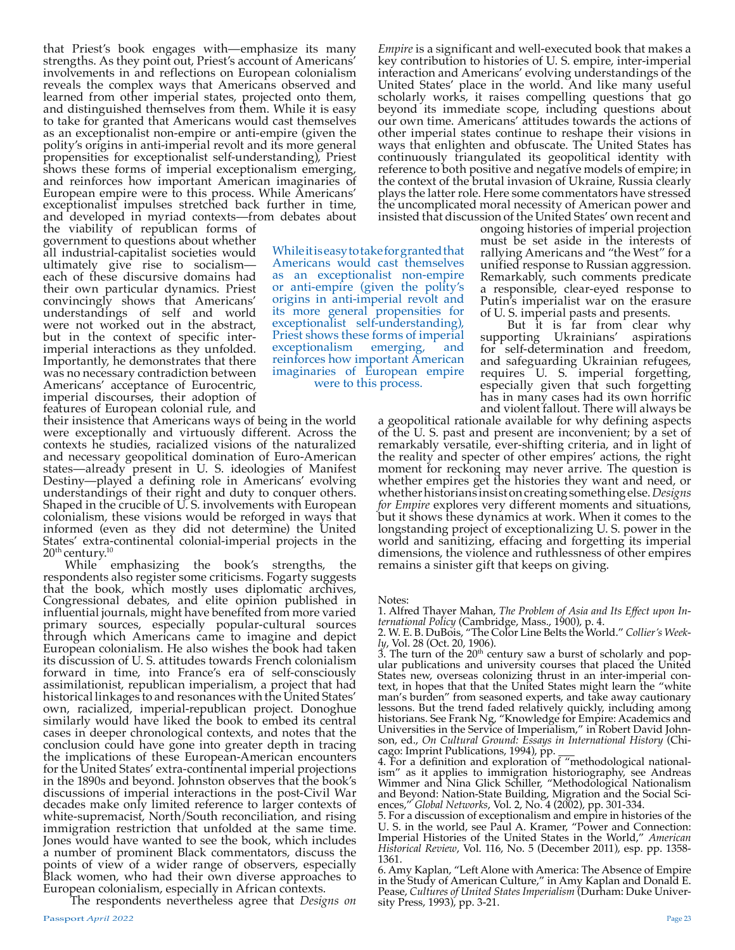that Priest's book engages with—emphasize its many strengths. As they point out, Priest's account of Americans' involvements in and reflections on European colonialism reveals the complex ways that Americans observed and learned from other imperial states, projected onto them, and distinguished themselves from them. While it is easy to take for granted that Americans would cast themselves as an exceptionalist non-empire or anti-empire (given the polity's origins in anti-imperial revolt and its more general propensities for exceptionalist self-understanding), Priest shows these forms of imperial exceptionalism emerging, and reinforces how important American imaginaries of European empire were to this process. While Americans' exceptionalist impulses stretched back further in time, and developed in myriad contexts—from debates about

the viability of republican forms of government to questions about whether all industrial-capitalist societies would ultimately give rise to socialism each of these discursive domains had their own particular dynamics. Priest convincingly shows that Americans' understandings of self and world were not worked out in the abstract, but in the context of specific interimperial interactions as they unfolded. Importantly, he demonstrates that there was no necessary contradiction between Americans' acceptance of Eurocentric, imperial discourses, their adoption of features of European colonial rule, and

While it is easy to take for granted that Americans would cast themselves as an exceptionalist non-empire or anti-empire (given the polity's origins in anti-imperial revolt and its more general propensities for exceptionalist self-understanding), Priest shows these forms of imperial<br>exceptionalism emerging, and exceptionalism emerging, and reinforces how important American imaginaries of European empire were to this process.

their insistence that Americans ways of being in the world were exceptionally and virtuously different. Across the contexts he studies, racialized visions of the naturalized and necessary geopolitical domination of Euro-American states—already present in U. S. ideologies of Manifest Destiny—played a defining role in Americans' evolving understandings of their right and duty to conquer others. Shaped in the crucible of U. S. involvements with European colonialism, these visions would be reforged in ways that informed (even as they did not determine) the United States' extra-continental colonial-imperial projects in the

 $20<sup>th</sup>$  century.<sup>10</sup><br>While emphasizing the book's strengths, the respondents also register some criticisms. Fogarty suggests that the book, which mostly uses diplomatic archives, Congressional debates, and elite opinion published in influential journals, might have benefited from more varied primary sources, especially popular-cultural sources through which Americans came to imagine and depict European colonialism. He also wishes the book had taken its discussion of U. S. attitudes towards French colonialism forward in time, into France's era of self-consciously assimilationist, republican imperialism, a project that had historical linkages to and resonances with the United States' own, racialized, imperial-republican project. Donoghue similarly would have liked the book to embed its central cases in deeper chronological contexts, and notes that the conclusion could have gone into greater depth in tracing the implications of these European-American encounters for the United States' extra-continental imperial projections in the 1890s and beyond. Johnston observes that the book's discussions of imperial interactions in the post-Civil War decades make only limited reference to larger contexts of white-supremacist, North/South reconciliation, and rising immigration restriction that unfolded at the same time. Jones would have wanted to see the book, which includes a number of prominent Black commentators, discuss the points of view of a wider range of observers, especially Black women, who had their own diverse approaches to European colonialism, especially in African contexts.

The respondents nevertheless agree that *Designs on* 

*Empire* is a significant and well-executed book that makes a key contribution to histories of U. S. empire, inter-imperial interaction and Americans' evolving understandings of the United States' place in the world. And like many useful scholarly works, it raises compelling questions that go beyond its immediate scope, including questions about our own time. Americans' attitudes towards the actions of other imperial states continue to reshape their visions in ways that enlighten and obfuscate. The United States has continuously triangulated its geopolitical identity with reference to both positive and negative models of empire; in the context of the brutal invasion of Ukraine, Russia clearly plays the latter role. Here some commentators have stressed the uncomplicated moral necessity of American power and insisted that discussion of the United States' own recent and

ongoing histories of imperial projection must be set aside in the interests of rallying Americans and "the West" for a unified response to Russian aggression. Remarkably, such comments predicate a responsible, clear-eyed response to Putin's imperialist war on the erasure of U. S. imperial pasts and presents.

But it is far from clear why supporting Ukrainians' aspirations for self-determination and freedom, and safeguarding Ukrainian refugees, requires U. S. imperial forgetting, especially given that such forgetting has in many cases had its own horrific and violent fallout. There will always be

a geopolitical rationale available for why defining aspects of the U. S. past and present are inconvenient; by a set of remarkably versatile, ever-shifting criteria, and in light of the reality and specter of other empires' actions, the right moment for reckoning may never arrive. The question is whether empires get the histories they want and need, or whether historians insist on creating something else. *Designs for Empire* explores very different moments and situations, but it shows these dynamics at work. When it comes to the longstanding project of exceptionalizing U. S. power in the world and sanitizing, effacing and forgetting its imperial dimensions, the violence and ruthlessness of other empires remains a sinister gift that keeps on giving.

- 
- Notes:<br>1. Alfred Thayer Mahan, The Problem of Asia and Its Effect upon In-
- Franchise Company of the Liberty State and Its Effect upon International Policy (Cambridge, Mass., 1900), p. 4.<br>2. W. E. B. DuBois, "The Color Line Belts the World." Collier's Week-<br>ly, Vol. 28 (Oct. 20, 1906).

 $3.$  The turn of the  $20<sup>th</sup>$  century saw a burst of scholarly and popular publications and university courses that placed the United States new, overseas colonizing thrust in an inter-imperial context, in hopes that that the United States might learn the "white man's burden" from seasoned experts, and take away cautionary lessons. But the trend faded relatively quickly, including among historians. See Frank Ng, "Knowledge for Empire: Academics and Universities in the Service of Imperialism," in Robert David Johnson, ed., *On Cultural Ground: Essays in International History* (Chi-<br>cago: Imprint Publications, 1994), pp. \_\_\_\_\_<br>4. For a definition and exploration of "methodological national-

4. For a definition and exploration of "methodological national- ism" as it applies to immigration historiography, see Andreas Wimmer and Nina Glick Schiller, "Methodological Nationalism and Beyond: Nation-State Building, Migration and the Social Sci-<br>ences," *Global Networks*, Vol. 2, No. 4 (2002), pp. 301-334.<br>5. For a discussion of exceptionalism and empire in histories of the

U. S. in the world, see Paul A. Kramer, "Power and Connection: Imperial Histories of the United States in the World," *American Historical Review*, Vol. 116, No. 5 (December 2011), esp. pp. 1358- 1361.

6. Amy Kaplan, "Left Alone with America: The Absence of Empire in the Study of American Culture," in Amy Kaplan and Donald E. Pease, *Cultures of United States Imperialism* (Durham: Duke University Press, 1993), pp. 3-21.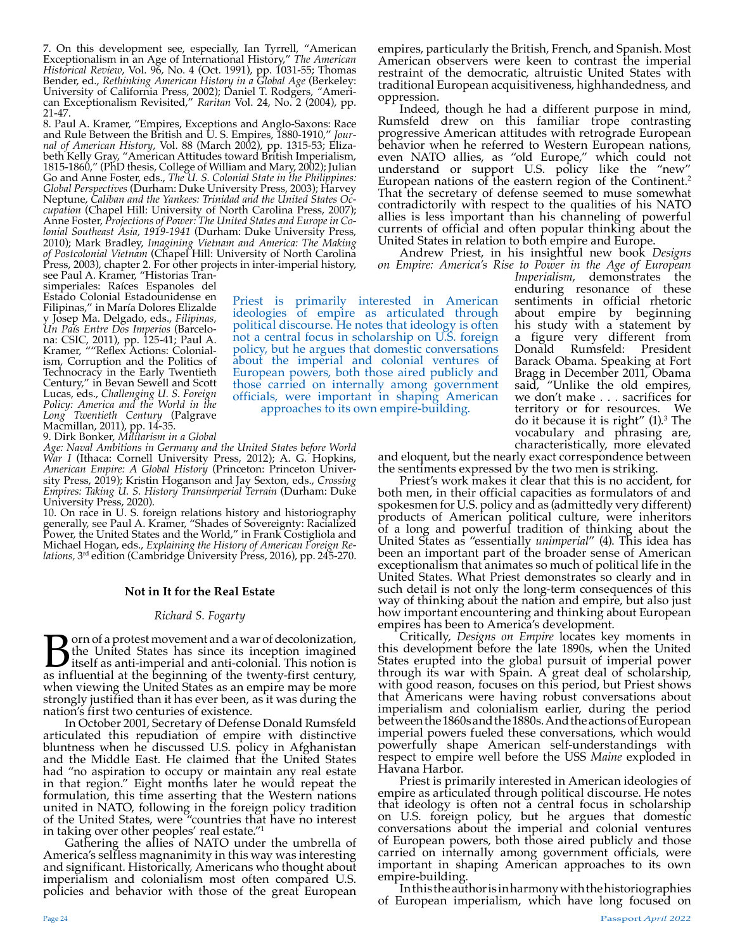7. On this development see, especially, Ian Tyrrell, "American Exceptionalism in an Age of International History," *The American Historical Review*, Vol. 96, No. 4 (Oct. 1991), pp. 1031-55; Thomas Bender, ed., *Rethinking American History in a Global Age* (Berkeley: University of California Press, 2002); Daniel T. Rodgers, *"*American Exceptionalism Revisited," *Raritan* Vol. 24, No. 2 (2004), pp. 21-47.

8. Paul A. Kramer, "Empires, Exceptions and Anglo-Saxons: Race and Rule Between the British and U. S. Empires, 1880-1910," *Journal of American History*, Vol. 88 (March 2002), pp. 1315-53; Elizabeth Kelly Gray, "American Attitudes toward British Imperialism, 1815-1860," (PhD thesis, College of William and Mary, 2002); Julian Go and Anne Foster, eds., *The U. S. Colonial State in the Philippines: Global Perspectives* (Durham: Duke University Press, 2003); Harvey Neptune, *Caliban and the Yankees: Trinidad and the United States Occupation* (Chapel Hill: University of North Carolina Press, 2007); Anne Foster, *Projections of Power: The United States and Europe in Colonial Southeast Asia, 1919-1941* (Durham: Duke University Press, 2010); Mark Bradley, *Imagining Vietnam and America: The Making of Postcolonial Vietnam* (Chapel Hill: University of North Carolina Press, 2003), chapter 2. For other projects in inter-imperial history,

see Paul A. Kramer, "Historias Transimperiales: Raíces Espanoles del Estado Colonial Estadounidense en Filipinas," in María Dolores Elizalde y Josep Ma. Delgado, eds., *Filipinas, Un País Entre Dos Imperios* (Barcelona: CSIC, 2011), pp. 125-41; Paul A. Kramer, ""Reflex Actions: Colonialism, Corruption and the Politics of Technocracy in the Early Twentieth Century," in Bevan Sewell and Scott Lucas, eds., *Challenging U. S. Foreign Policy: America and the World in the Long Twentieth Century* (Palgrave Macmillan, 2011), pp. 14-35.

9. Dirk Bonker, *Militarism in a Global* 

*Age: Naval Ambitions in Germany and the United States before World War I* (Ithaca: Cornell University Press, 2012); A. G. Hopkins, *American Empire: A Global History* (Princeton: Princeton University Press, 2019); Kristin Hoganson and Jay Sexton, eds., *Crossing Empires: Taking U. S. History Transimperial Terrain* (Durham: Duke University Press, 2020).

10. On race in U. S. foreign relations history and historiography generally, see Paul A. Kramer, "Shades of Sovereignty: Racialized Power, the United States and the World," in Frank Costigliola and Michael Hogan, eds., *Explaining the History of American Foreign Relations,* 3rd edition (Cambridge University Press, 2016), pp. 245-270.

# **Not in It for the Real Estate**

# *Richard S. Fogarty*

**B**orn of a protest movement and a war of decolonization, the United States has since its inception imagined itself as anti-imperial and anti-colonial. This notion is as influential at the beginning of the twenty-first cen the United States has since its inception imagined when viewing the United States as an empire may be more strongly justified than it has ever been, as it was during the nation's first two centuries of existence.

In October 2001, Secretary of Defense Donald Rumsfeld articulated this repudiation of empire with distinctive bluntness when he discussed U.S. policy in Afghanistan and the Middle East. He claimed that the United States had "no aspiration to occupy or maintain any real estate in that region." Eight months later he would repeat the formulation, this time asserting that the Western nations united in NATO, following in the foreign policy tradition of the United States, were "countries that have no interest in taking over other peoples' real estate."1

 Gathering the allies of NATO under the umbrella of America's selfless magnanimity in this way was interesting and significant. Historically, Americans who thought about imperialism and colonialism most often compared U.S. policies and behavior with those of the great European

empires, particularly the British, French, and Spanish. Most American observers were keen to contrast the imperial restraint of the democratic, altruistic United States with traditional European acquisitiveness, highhandedness, and oppression.

Indeed, though he had a different purpose in mind, Rumsfeld drew on this familiar trope contrasting progressive American attitudes with retrograde European behavior when he referred to Western European nations, even NATO allies, as "old Europe," which could not understand or support U.S. policy like the "new" European nations of the eastern region of the Continent.<sup>2</sup> That the secretary of defense seemed to muse somewhat contradictorily with respect to the qualities of his NATO allies is less important than his channeling of powerful currents of official and often popular thinking about the United States in relation to both empire and Europe.

Andrew Priest, in his insightful new book *Designs on Empire: America's Rise to Power in the Age of European* 

Priest is primarily interested in American ideologies of empire as articulated through political discourse. He notes that ideology is often not a central focus in scholarship on U.S. foreign policy, but he argues that domestic conversations about the imperial and colonial ventures of European powers, both those aired publicly and those carried on internally among government officials, were important in shaping American approaches to its own empire-building.

*Imperialism*, demonstrates the enduring resonance of these sentiments in official rhetoric about empire by beginning his study with a statement by a figure very different from Donald Rumsfeld: President Barack Obama. Speaking at Fort Bragg in December 2011, Obama said, "Unlike the old empires, we don't make . . . sacrifices for territory or for resources. We do it because it is right"  $(1)$ .<sup>3</sup> The vocabulary and phrasing are, characteristically, more elevated

and eloquent, but the nearly exact correspondence between the sentiments expressed by the two men is striking.

Priest's work makes it clear that this is no accident, for both men, in their official capacities as formulators of and spokesmen for U.S. policy and as (admittedly very different) products of American political culture, were inheritors of a long and powerful tradition of thinking about the United States as "essentially *unimperial*" (4). This idea has been an important part of the broader sense of American exceptionalism that animates so much of political life in the United States. What Priest demonstrates so clearly and in such detail is not only the long-term consequences of this way of thinking about the nation and empire, but also just how important encountering and thinking about European

Critically, *Designs on Empire* locates key moments in this development before the late 1890s, when the United States erupted into the global pursuit of imperial power through its war with Spain. A great deal of scholarship, with good reason, focuses on this period, but Priest shows that Americans were having robust conversations about imperialism and colonialism earlier, during the period between the 1860s and the 1880s. And the actions of European imperial powers fueled these conversations, which would powerfully shape American self-understandings with respect to empire well before the USS *Maine* exploded in Havana Harbor.

Priest is primarily interested in American ideologies of empire as articulated through political discourse. He notes that ideology is often not a central focus in scholarship on U.S. foreign policy, but he argues that domestic conversations about the imperial and colonial ventures of European powers, both those aired publicly and those carried on internally among government officials, were important in shaping American approaches to its own empire-building.

In this the author is in harmony with the historiographies of European imperialism, which have long focused on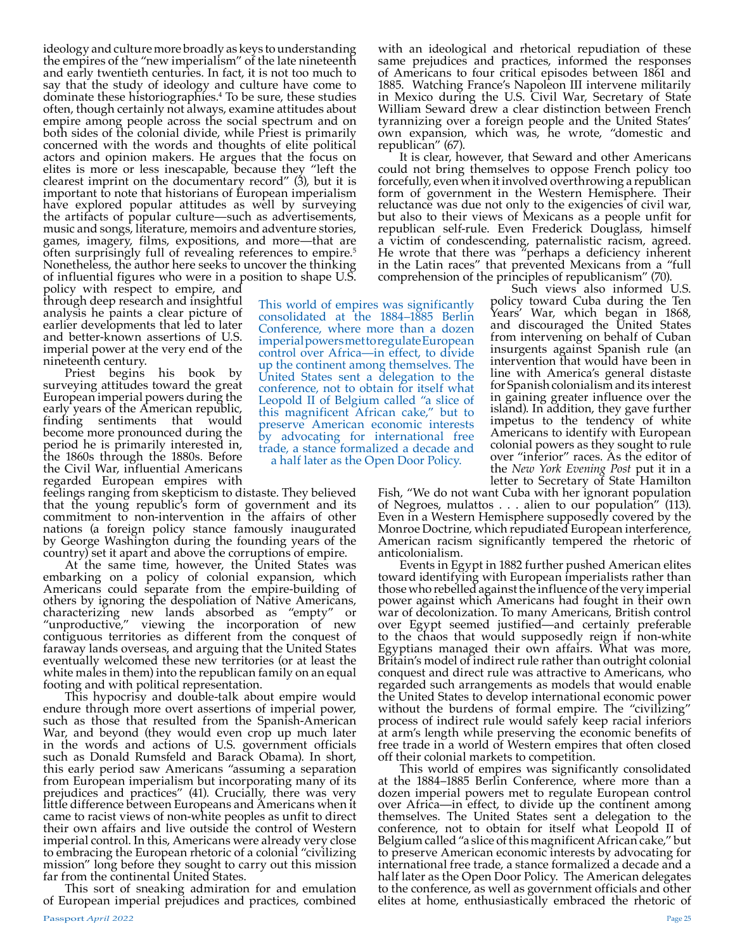ideology and culture more broadly as keys to understanding the empires of the "new imperialism" of the late nineteenth and early twentieth centuries. In fact, it is not too much to say that the study of ideology and culture have come to dominate these historiographies.4 To be sure, these studies often, though certainly not always, examine attitudes about empire among people across the social spectrum and on both sides of the colonial divide, while Priest is primarily concerned with the words and thoughts of elite political actors and opinion makers. He argues that the focus on elites is more or less inescapable, because they "left the clearest imprint on the documentary record" (3), but it is important to note that historians of European imperialism have explored popular attitudes as well by surveying the artifacts of popular culture—such as advertisements, music and songs, literature, memoirs and adventure stories, games, imagery, films, expositions, and more—that are often surprisingly full of revealing references to empire.<sup>5</sup> Nonetheless, the author here seeks to uncover the thinking of influential figures who were in a position to shape U.S.

policy with respect to empire, and through deep research and insightful analysis he paints a clear picture of earlier developments that led to later and better-known assertions of U.S. imperial power at the very end of the nineteenth century.

Priest begins his book by surveying attitudes toward the great European imperial powers during the early years of the American republic, finding sentiments that would become more pronounced during the period he is primarily interested in, the 1860s through the 1880s. Before the Civil War, influential Americans regarded European empires with

feelings ranging from skepticism to distaste. They believed that the young republic's form of government and its commitment to non-intervention in the affairs of other nations (a foreign policy stance famously inaugurated by George Washington during the founding years of the country) set it apart and above the corruptions of empire.

At the same time, however, the United States was embarking on a policy of colonial expansion, which Americans could separate from the empire-building of others by ignoring the despoliation of Native Americans, characterizing new lands absorbed as "empty" or "unproductive," viewing the incorporation of new contiguous territories as different from the conquest of faraway lands overseas, and arguing that the United States eventually welcomed these new territories (or at least the white males in them) into the republican family on an equal footing and with political representation.

This hypocrisy and double-talk about empire would endure through more overt assertions of imperial power, such as those that resulted from the Spanish-American War, and beyond (they would even crop up much later in the words and actions of U.S. government officials such as Donald Rumsfeld and Barack Obama). In short, this early period saw Americans "assuming a separation from European imperialism but incorporating many of its prejudices and practices" (41). Crucially, there was very little difference between Europeans and Americans when it came to racist views of non-white peoples as unfit to direct their own affairs and live outside the control of Western imperial control. In this, Americans were already very close to embracing the European rhetoric of a colonial "civilizing mission" long before they sought to carry out this mission far from the continental United States.

This sort of sneaking admiration for and emulation of European imperial prejudices and practices, combined with an ideological and rhetorical repudiation of these same prejudices and practices, informed the responses of Americans to four critical episodes between 1861 and 1885. Watching France's Napoleon III intervene militarily in Mexico during the U.S. Civil War, Secretary of State William Seward drew a clear distinction between French tyrannizing over a foreign people and the United States' own expansion, which was, he wrote, "domestic and republican" (67).

It is clear, however, that Seward and other Americans could not bring themselves to oppose French policy too forcefully, even when it involved overthrowing a republican form of government in the Western Hemisphere. Their reluctance was due not only to the exigencies of civil war, but also to their views of Mexicans as a people unfit for republican self-rule. Even Frederick Douglass, himself a victim of condescending, paternalistic racism, agreed. He wrote that there was "perhaps a deficiency inherent in the Latin races" that prevented Mexicans from a "full comprehension of the principles of republicanism" (70).

This world of empires was significantly consolidated at the 1884-1885 Berlin Conference, where more than a dozen imperial powers met to regulate European control over Africa—in effect, to divide up the continent among themselves. The United States sent a delegation to the conference, not to obtain for itself what Leopold II of Belgium called "a slice of this magnificent African cake," but to preserve American economic interests by advocating for international free trade, a stance formalized a decade and a half later as the Open Door Policy.

Such views also informed U.S. policy toward Cuba during the Ten Years' War, which began in 1868, and discouraged the United States from intervening on behalf of Cuban insurgents against Spanish rule (an intervention that would have been in line with America's general distaste for Spanish colonialism and its interest in gaining greater influence over the island). In addition, they gave further impetus to the tendency of white Americans to identify with European colonial powers as they sought to rule over "inferior" races. As the editor of the *New York Evening Post* put it in a letter to Secretary of State Hamilton

Fish, "We do not want Cuba with her ignorant population of Negroes, mulattos . . . alien to our population" (113). Even in a Western Hemisphere supposedly covered by the Monroe Doctrine, which repudiated European interference, American racism significantly tempered the rhetoric of

anticolonialism. toward identifying with European imperialists rather than those who rebelled against the influence of the very imperial power against which Americans had fought in their own war of decolonization. To many Americans, British control over Egypt seemed justified—and certainly preferable to the chaos that would supposedly reign if non-white Egyptians managed their own affairs. What was more, Britain's model of indirect rule rather than outright colonial conquest and direct rule was attractive to Americans, who regarded such arrangements as models that would enable the United States to develop international economic power without the burdens of formal empire. The "civilizing" process of indirect rule would safely keep racial inferiors at arm's length while preserving the economic benefits of free trade in a world of Western empires that often closed off their colonial markets to competition.

This world of empires was significantly consolidated at the 1884–1885 Berlin Conference, where more than a dozen imperial powers met to regulate European control over Africa-in effect, to divide up the continent among themselves. The United States sent a delegation to the conference, not to obtain for itself what Leopold II of Belgium called "a slice of this magnificent African cake," but to preserve American economic interests by advocating for international free trade, a stance formalized a decade and a half later as the Open Door Policy. The American delegates to the conference, as well as government officials and other elites at home, enthusiastically embraced the rhetoric of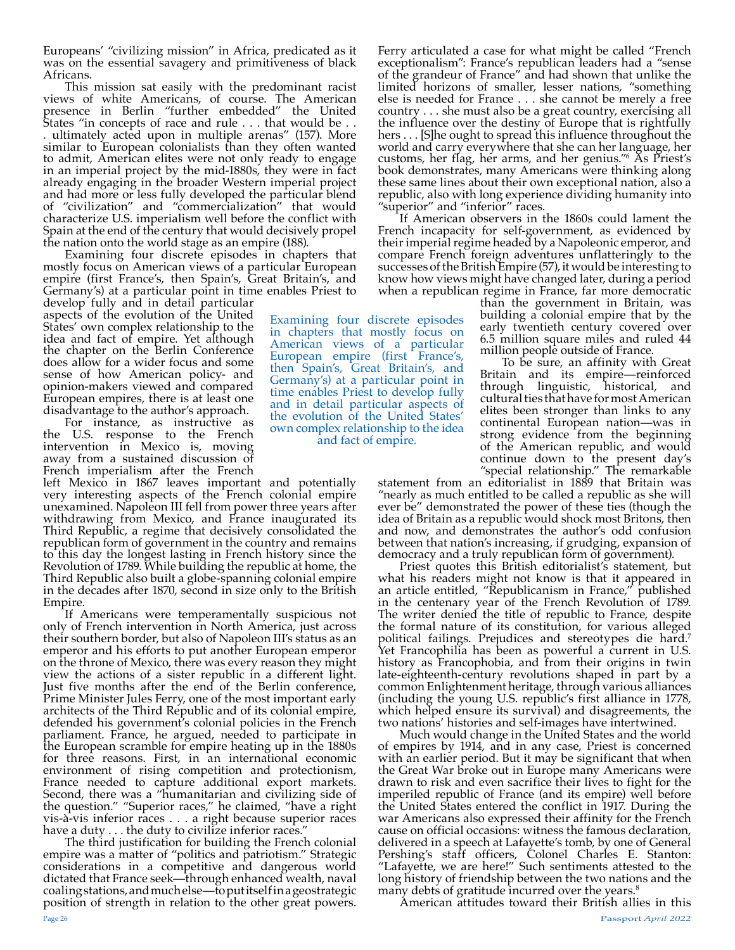Europeans' "civilizing mission" in Africa, predicated as it was on the essential savagery and primitiveness of black Africans.

This mission sat easily with the predominant racist views of white Americans, of course. The American presence in Berlin "further embedded" the United States "in concepts of race and rule . . . that would be . . . ultimately acted upon in multiple arenas" (157). More similar to European colonialists than they often wanted to admit, American elites were not only ready to engage in an imperial project by the mid-1880s, they were in fact already engaging in the broader Western imperial project and had more or less fully developed the particular blend of "civilization" and "commercialization" that would characterize U.S. imperialism well before the conflict with Spain at the end of the century that would decisively propel the nation onto the world stage as an empire (188).

Examining four discrete episodes in chapters that mostly focus on American views of a particular European empire (first France's, then Spain's, Great Britain's, and Germany's) at a particular point in time enables Priest to

develop fully and in detail particular aspects of the evolution of the United States' own complex relationship to the idea and fact of empire. Yet although the chapter on the Berlin Conference does allow for a wider focus and some sense of how American policy- and opinion-makers viewed and compared European empires, there is at least one disadvantage to the author's approach.

For instance, as instructive as the U.S. response to the French intervention in Mexico is, moving away from a sustained discussion of French imperialism after the French

left Mexico in 1867 leaves important and potentially very interesting aspects of the French colonial empire unexamined. Napoleon III fell from power three years after withdrawing from Mexico, and France inaugurated its Third Republic, a regime that decisively consolidated the republican form of government in the country and remains to this day the longest lasting in French history since the Revolution of 1789. While building the republic at home, the Third Republic also built a globe-spanning colonial empire in the decades after 1870, second in size only to the British

Empire. If Americans were temperamentally suspicious not only of French intervention in North America, just across their southern border, but also of Napoleon III's status as an emperor and his efforts to put another European emperor on the throne of Mexico, there was every reason they might view the actions of a sister republic in a different light. Just five months after the end of the Berlin conference, Prime Minister Jules Ferry, one of the most important early architects of the Third Republic and of its colonial empire, defended his government's colonial policies in the French parliament. France, he argued, needed to participate in the European scramble for empire heating up in the 1880s for three reasons. First, in an international economic environment of rising competition and protectionism, France needed to capture additional export markets. Second, there was a "humanitarian and civilizing side of the question." "Superior races," he claimed, "have a right vis-à-vis inferior races . . . a right because superior races have a duty . . . the duty to civilize inferior races."

The third justification for building the French colonial empire was a matter of "politics and patriotism." Strategic considerations in a competitive and dangerous world dictated that France seek—through enhanced wealth, naval coaling stations, and much else—to put itself in a geostrategic position of strength in relation to the other great powers.

Ferry articulated a case for what might be called "French exceptionalism": France's republican leaders had a "sense of the grandeur of France" and had shown that unlike the limited horizons of smaller, lesser nations, "something else is needed for France . . . she cannot be merely a free country . . . she must also be a great country, exercising all the influence over the destiny of Europe that is rightfully hers . . . [S] he ought to spread this influence throughout the world and carry everywhere that she can her language, her customs, her flag, her arms, and her genius."6 As Priest's book demonstrates, many Americans were thinking along these same lines about their own exceptional nation, also a republic, also with long experience dividing humanity into "superior" and "inferior" races.

If American observers in the 1860s could lament the French incapacity for self-government, as evidenced by their imperial regime headed by a Napoleonic emperor, and compare French foreign adventures unflatteringly to the successes of the British Empire (57), it would be interesting to know how views might have changed later, during a period when a republican regime in France, far more democratic

> than the government in Britain, was building a colonial empire that by the early twentieth century covered over 6.5 million square miles and ruled 44 million people outside of France.

To be sure, an affinity with Great Britain and its empire—reinforced through linguistic, historical, and cultural ties that have for most American elites been stronger than links to any continental European nation—was in strong evidence from the beginning of the American republic, and would continue down to the present day's "special relationship." The remarkable

statement from an editorialist in 1889 that Britain was "nearly as much entitled to be called a republic as she will ever be" demonstrated the power of these ties (though the idea of Britain as a republic would shock most Britons, then and now, and demonstrates the author's odd confusion between that nation's increasing, if grudging, expansion of

Priest quotes this British editorialist's statement, but what his readers might not know is that it appeared in an article entitled, "Republicanism in France," published in the centenary year of the French Revolution of 1789. The writer denied the title of republic to France, despite the formal nature of its constitution, for various alleged political failings. Prejudices and stereotypes die hard.7 Yet Francophilia has been as powerful a current in U.S. history as Francophobia, and from their origins in twin late-eighteenth-century revolutions shaped in part by a common Enlightenment heritage, through various alliances (including the young U.S. republic's first alliance in 1778, which helped ensure its survival) and disagreements, the two nations' histories and self-images have intertwined.

Much would change in the United States and the world of empires by 1914, and in any case, Priest is concerned with an earlier period. But it may be significant that when the Great War broke out in Europe many Americans were drawn to risk and even sacrifice their lives to fight for the imperiled republic of France (and its empire) well before the United States entered the conflict in 1917. During the war Americans also expressed their affinity for the French cause on official occasions: witness the famous declaration, delivered in a speech at Lafayette's tomb, by one of General Pershing's staff officers, Colonel Charles E. Stanton: "Lafayette, we are here!" Such sentiments attested to the long history of friendship between the two nations and the many debts of gratitude incurred over the years.<sup>8</sup>

American attitudes toward their British allies in this

Examining four discrete episodes in chapters that mostly focus on American views of a particular European empire (first France's, then Spain's, Great Britain's, and Germany's) at a particular point in time enables Priest to develop fully and in detail particular aspects of the evolution of the United States' own complex relationship to the idea and fact of empire.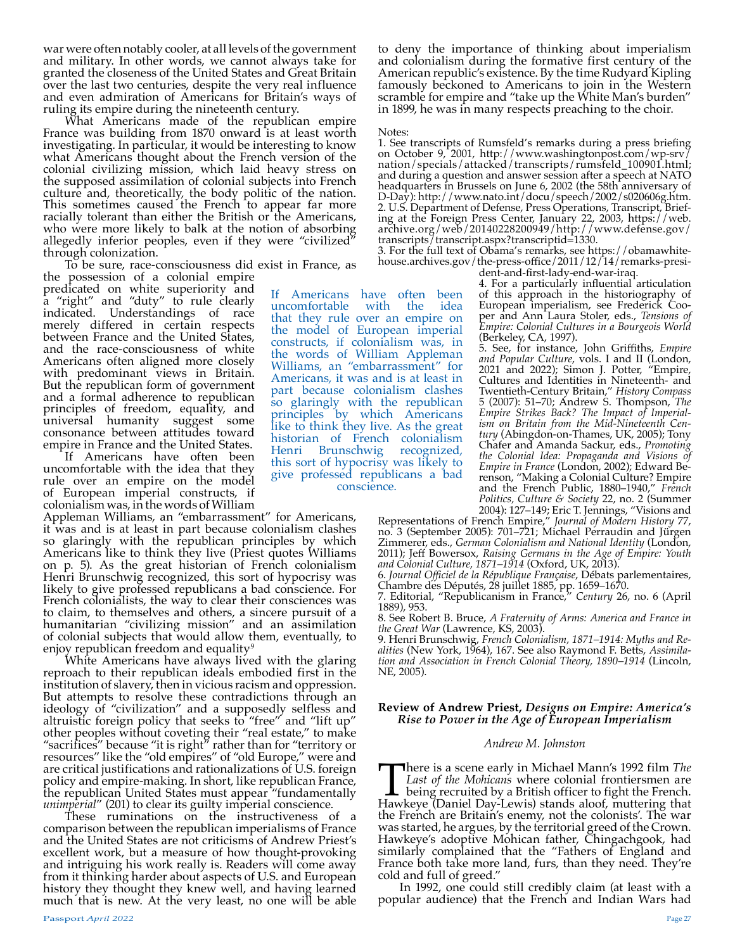war were often notably cooler, at all levels of the government and military. In other words, we cannot always take for granted the closeness of the United States and Great Britain over the last two centuries, despite the very real influence and even admiration of Americans for Britain's ways of ruling its empire during the nineteenth century.

What Americans made of the republican empire France was building from 1870 onward is at least worth investigating. In particular, it would be interesting to know what Americans thought about the French version of the colonial civilizing mission, which laid heavy stress on the supposed assimilation of colonial subjects into French culture and, theoretically, the body politic of the nation. This sometimes caused the French to appear far more racially tolerant than either the British or the Americans, who were more likely to balk at the notion of absorbing allegedly inferior peoples, even if they were "civilized" through colonization.

To be sure, race-consciousness did exist in France, as

the possession of a colonial empire predicated on white superiority and a "right" and "duty" to rule clearly indicated. Understandings of race merely differed in certain respects between France and the United States, and the race-consciousness of white Americans often aligned more closely with predominant views in Britain. But the republican form of government and a formal adherence to republican principles of freedom, equality, and universal humanity suggest some consonance between attitudes toward empire in France and the United States.

If Americans have often been uncomfortable with the idea that they rule over an empire on the model of European imperial constructs, if colonialism was, in the words of William

Appleman Williams, an "embarrassment" for Americans, it was and is at least in part because colonialism clashes so glaringly with the republican principles by which Americans like to think they live (Priest quotes Williams on p. 5). As the great historian of French colonialism Henri Brunschwig recognized, this sort of hypocrisy was likely to give professed republicans a bad conscience. For French colonialists, the way to clear their consciences was to claim, to themselves and others, a sincere pursuit of a humanitarian "civilizing mission" and an assimilation of colonial subjects that would allow them, eventually, to enjoy republican freedom and equality<sup>9</sup>

White Americans have always lived with the glaring reproach to their republican ideals embodied first in the institution of slavery, then in vicious racism and oppression. But attempts to resolve these contradictions through an ideology of "civilization" and a supposedly selfless and altruistic foreign policy that seeks to "free" and "lift up" other peoples without coveting their "real estate," to make "sacrifices" because "it is right" rather than for "territory or resources" like the "old empires" of "old Europe," were and are critical justifications and rationalizations of U.S. foreign policy and empire-making. In short, like republican France, the republican United States must appear "fundamentally *unimperial*" (201) to clear its guilty imperial conscience.

These ruminations on the instructiveness of a comparison between the republican imperialisms of France and the United States are not criticisms of Andrew Priest's excellent work, but a measure of how thought-provoking and intriguing his work really is. Readers will come away from it thinking harder about aspects of U.S. and European history they thought they knew well, and having learned much that is new. At the very least, no one will be able

If Americans have often been uncomfortable with the idea that they rule over an empire on the model of European imperial constructs, if colonialism was, in the words of William Appleman Williams, an "embarrassment" for Americans, it was and is at least in part because colonialism clashes so glaringly with the republican principles by which Americans like to think they live. As the great historian of French colonialism Henri Brunschwig recognized, this sort of hypocrisy was likely to give professed republicans a bad conscience.

to deny the importance of thinking about imperialism and colonialism during the formative first century of the American republic's existence. By the time Rudyard Kipling famously beckoned to Americans to join in the Western scramble for empire and "take up the White Man's burden" in 1899, he was in many respects preaching to the choir.

#### Notes:

1. See transcripts of Rumsfeld's remarks during a press briefing on October 9, 2001, http://www.washingtonpost.com/wp-srv/ nation/specials/attacked/transcripts/rumsfeld\_100901.html; and during a question and answer session after a speech at NATO headquarters in Brussels on June 6, 2002 (the 58th anniversary of D-Day): http://www.nato.int/docu/speech/2002/s020606g.htm. 2. U.S. Department of Defense, Press Operations, Transcript, Briefing at the Foreign Press Center, January 22, 2003, https://web. archive.org/web/20140228200949/http://www.defense.gov/ transcripts/transcript.aspx?transcriptid=1330.

3. For the full text of Obama's remarks, see https://obamawhite-<br>house.archives.gov/the-press-office/2011/12/14/remarks-presi-<br>dent-and-first-lady-end-war-iraq.<br>4. For a particularly influential articulation

4. For a particularly influential articulation<br>of this approach in the historiography of<br>European imperialism, see Frederick Cooper and Ann<sup>2</sup> Laura Stoler, eds., *Tensions of Empire: Colonial Cultures in a Bourgeois World* (Berkeley, CA, 1997).

5. See, for instance, John Griffiths, *Empire and Popular Culture*, vols. I and II (London, 2021 and 2022); Simon J. Potter, "Empire, Cultures and Identities in Nineteenth- and Twentieth-Century Britain," *History Compass* 5 (2007): 51–70; Andrew S. Thompson, *The*  Empire Strikes Back? The Impact of Imperial-<br>ism on Britain from the Mid-Nineteenth Cen-<br>tury (Abingdon-on-Thames, UK, 2005); Tony<br>Chafer and Amanda Sackur, eds., Promoting<br>the Colonial Idea: Propaganda and Visions of *Empire in France* (London, 2002); Edward Be- renson, "Making a Colonial Culture? Empire and the French Public, 1880–1940," *French Politics, Culture & Society* 22, no. 2 (Summer

2004): 127–149; Eric T. Jennings, "Visions and Representations of French Empire," *Journal of Modern History* 77, no. 3 (September 2005): 701–721; Michael Perraudin and Jürgen Zimmerer, eds., *German Colonialism and National Identity* (London, 2011); Jeff Bowersox, *Raising Germans in the Age of Empire: Youth and Colonial Culture, 1871–1914* (Oxford, UK, 2013).

6. J*ournal Officiel de la République Française,* Débats parlementaires*,*<br>Chambre des Députés, 28 juillet 1885, pp. 1659–1670.

8. See Robert B. Bruce, *A Fraternity of Arms: America and France in the Great War* (Lawrence, KS, 2003).

9. Henri Brunschwig, *French Colonialism, 1871–1914: Myths and Realities* (New York, 1964), 167. See also Raymond F. Betts, *Assimilation and Association in French Colonial Theory, 1890–1914* (Lincoln, NE, 2005).

## **Review of Andrew Priest,** *Designs on Empire: America's Rise to Power in the Age of European Imperialism*

## *Andrew M. Johnston*

There is a scene early in Michael Mann's 1992 film *The Last of the Mohicans* where colonial frontiersmen are being recruited by a British officer to fight the French. Hawkeye (Daniel Day-Lewis) stands aloof, muttering tha *Last of the Mohicans* where colonial frontiersmen are being recruited by a British officer to fight the French. Hawkeye (Daniel Day-Lewis) stands aloof, muttering that the French are Britain's enemy, not the colonists'. The war was started, he argues, by the territorial greed of the Crown. Hawkeye's adoptive Mohican father, Chingachgook, had similarly complained that the "Fathers of England and France both take more land, furs, than they need. They're cold and full of greed."

In 1992, one could still credibly claim (at least with a popular audience) that the French and Indian Wars had

<sup>7.</sup> Editorial, "Republicanism in France," *Century* 26, no. 6 (April 1889), 953.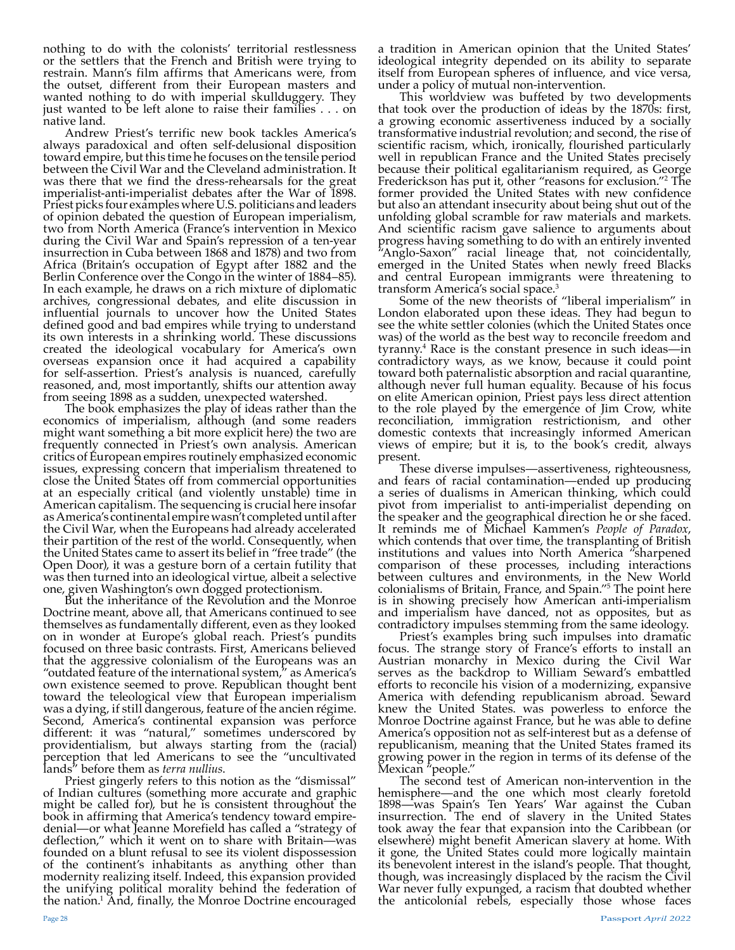nothing to do with the colonists' territorial restlessness or the settlers that the French and British were trying to restrain. Mann's film affirms that Americans were, from the outset, different from their European masters and wanted nothing to do with imperial skullduggery. They just wanted to be left alone to raise their families . . . on native land.

Andrew Priest's terrific new book tackles America's always paradoxical and often self-delusional disposition toward empire, but this time he focuses on the tensile period between the Civil War and the Cleveland administration. It was there that we find the dress-rehearsals for the great imperialist-anti-imperialist debates after the War of 1898. Priest picks four examples where U.S. politicians and leaders of opinion debated the question of European imperialism, two from North America (France's intervention in Mexico during the Civil War and Spain's repression of a ten-year insurrection in Cuba between 1868 and 1878) and two from Africa (Britain's occupation of Egypt after 1882 and the Berlin Conference over the Congo in the winter of 1884–85). In each example, he draws on a rich mixture of diplomatic archives, congressional debates, and elite discussion in influential journals to uncover how the United States defined good and bad empires while trying to understand its own interests in a shrinking world. These discussions created the ideological vocabulary for America's own overseas expansion once it had acquired a capability for self-assertion. Priest's analysis is nuanced, carefully reasoned, and, most importantly, shifts our attention away from seeing 1898 as a sudden, unexpected watershed.

The book emphasizes the play of ideas rather than the economics of imperialism, although (and some readers might want something a bit more explicit here) the two are frequently connected in Priest's own analysis. American critics of European empires routinely emphasized economic issues, expressing concern that imperialism threatened to close the United States off from commercial opportunities at an especially critical (and violently unstable) time in American capitalism. The sequencing is crucial here insofar as America's continental empire wasn't completed until after the Civil War, when the Europeans had already accelerated their partition of the rest of the world. Consequently, when the United States came to assert its belief in "free trade" (the Open Door), it was a gesture born of a certain futility that was then turned into an ideological virtue, albeit a selective

But the inheritance of the Revolution and the Monroe Doctrine meant, above all, that Americans continued to see themselves as fundamentally different, even as they looked on in wonder at Europe's global reach. Priest's pundits focused on three basic contrasts. First, Americans believed that the aggressive colonialism of the Europeans was an "outdated feature of the international system," as America's own existence seemed to prove. Republican thought bent toward the teleological view that European imperialism was a dying, if still dangerous, feature of the ancien régime. Second, America's continental expansion was perforce different: it was "natural," sometimes underscored by providentialism, but always starting from the (racial) perception that led Americans to see the "uncultivated lands" before them as *terra nullius*.

Priest gingerly refers to this notion as the "dismissal" of Indian cultures (something more accurate and graphic might be called for), but he is consistent throughout the book in affirming that America's tendency toward empiredenial—or what Jeanne Morefield has called a "strategy of deflection," which it went on to share with Britain—was founded on a blunt refusal to see its violent dispossession of the continent's inhabitants as anything other than modernity realizing itself. Indeed, this expansion provided the unifying political morality behind the federation of the nation.1 And, finally, the Monroe Doctrine encouraged a tradition in American opinion that the United States' ideological integrity depended on its ability to separate itself from European spheres of influence, and vice versa, under a policy of mutual non-intervention.

This worldview was buffeted by two developments that took over the production of ideas by the 1870s: first, a growing economic assertiveness induced by a socially transformative industrial revolution; and second, the rise of scientific racism, which, ironically, flourished particularly well in republican France and the United States precisely because their political egalitarianism required, as George Frederickson has put it, other "reasons for exclusion."2 The former provided the United States with new confidence but also an attendant insecurity about being shut out of the unfolding global scramble for raw materials and markets. And scientific racism gave salience to arguments about progress having something to do with an entirely invented "Anglo-Saxon" racial lineage that, not coincidentally, emerged in the United States when newly freed Blacks and central European immigrants were threatening to transform America's social space.3

Some of the new theorists of "liberal imperialism" in London elaborated upon these ideas. They had begun to see the white settler colonies (which the United States once was) of the world as the best way to reconcile freedom and tyranny.4 Race is the constant presence in such ideas—in contradictory ways, as we know, because it could point toward both paternalistic absorption and racial quarantine, although never full human equality. Because of his focus on elite American opinion, Priest pays less direct attention to the role played by the emergence of Jim Crow, white reconciliation, immigration restrictionism, and other domestic contexts that increasingly informed American views of empire; but it is, to the book's credit, always present.

These diverse impulses—assertiveness, righteousness, and fears of racial contamination—ended up producing a series of dualisms in American thinking, which could pivot from imperialist to anti-imperialist depending on the speaker and the geographical direction he or she faced. It reminds me of Michael Kammen's *People of Paradox*, which contends that over time, the transplanting of British institutions and values into North America "sharpened comparison of these processes, including interactions between cultures and environments, in the New World colonialisms of Britain, France, and Spain."5 The point here is in showing precisely how American anti-imperialism and imperialism have danced, not as opposites, but as contradictory impulses stemming from the same ideology.

Priest's examples bring such impulses into dramatic focus. The strange story of France's efforts to install an Austrian monarchy in Mexico during the Civil War serves as the backdrop to William Seward's embattled efforts to reconcile his vision of a modernizing, expansive America with defending republicanism abroad. Seward knew the United States. was powerless to enforce the Monroe Doctrine against France, but he was able to define America's opposition not as self-interest but as a defense of republicanism, meaning that the United States framed its growing power in the region in terms of its defense of the Mexican "people."

The second test of American non-intervention in the hemisphere—and the one which most clearly foretold 1898—was Spain's Ten Years' War against the Cuban insurrection. The end of slavery in the United States took away the fear that expansion into the Caribbean (or elsewhere) might benefit American slavery at home. With it gone, the United States could more logically maintain its benevolent interest in the island's people. That thought, though, was increasingly displaced by the racism the Civil War never fully expunged, a racism that doubted whether the anticolonial rebels, especially those whose faces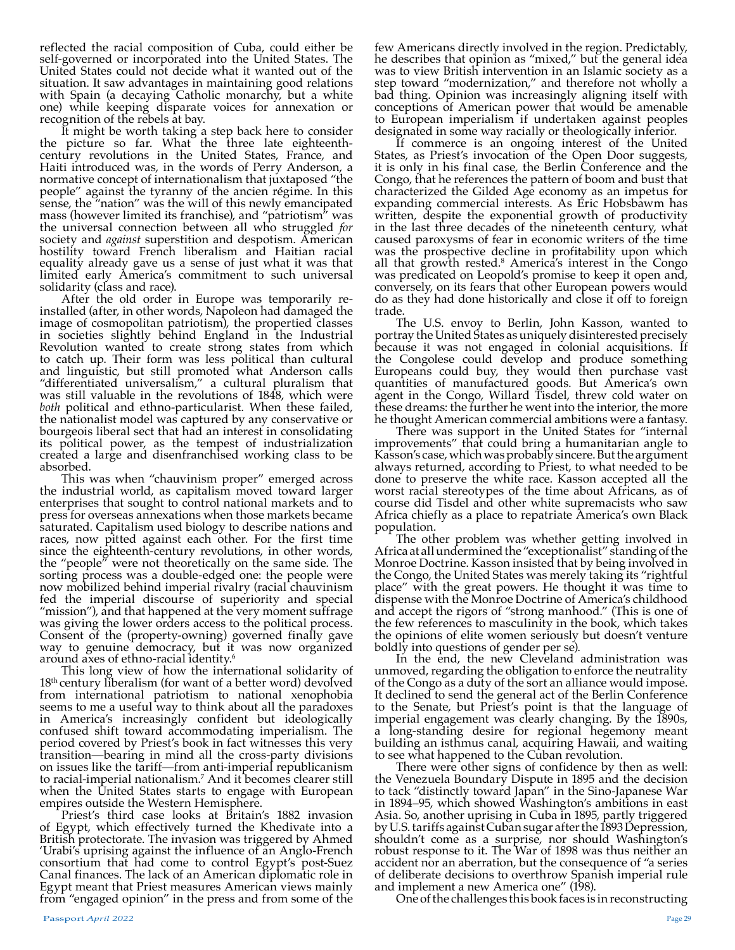reflected the racial composition of Cuba, could either be self-governed or incorporated into the United States. The United States could not decide what it wanted out of the situation. It saw advantages in maintaining good relations with Spain (a decaying Catholic monarchy, but a white one) while keeping disparate voices for annexation or recognition of the rebels at bay.

It might be worth taking a step back here to consider the picture so far. What the three late eighteenthcentury revolutions in the United States, France, and Haiti introduced was, in the words of Perry Anderson, a normative concept of internationalism that juxtaposed "the people" against the tyranny of the ancien régime. In this sense, the "nation" was the will of this newly emancipated mass (however limited its franchise), and "patriotism" was the universal connection between all who struggled for society and *against* superstition and despotism. American hostility toward French liberalism and Haitian racial equality already gave us a sense of just what it was that limited early America's commitment to such universal solidarity (class and race).

After the old order in Europe was temporarily re-<br>installed (after, in other words, Napoleon had damaged the image of cosmopolitan patriotism), the propertied classes in societies slightly behind England in the Industrial Revolution wanted to create strong states from which to catch up. Their form was less political than cultural and linguistic, but still promoted what Anderson calls "differentiated universalism," a cultural pluralism that was still valuable in the revolutions of 1848, which were *both* political and ethno-particularist. When these failed, the nationalist model was captured by any conservative or bourgeois liberal sect that had an interest in consolidating its political power, as the tempest of industrialization created a large and disenfranchised working class to be absorbed.

This was when "chauvinism proper" emerged across the industrial world, as capitalism moved toward larger enterprises that sought to control national markets and to press for overseas annexations when those markets became saturated. Capitalism used biology to describe nations and races, now pitted against each other. For the first time since the eighteenth-century revolutions, in other words, the "people" were not theoretically on the same side. The sorting process was a double-edged one: the people were now mobilized behind imperial rivalry (racial chauvinism fed the imperial discourse of superiority and special "mission"), and that happened at the very moment suffrage was giving the lower orders access to the political process. Consent of the (property-owning) governed finally gave way to genuine democracy, but it was now organized around axes of ethno-racial identity.6

This long view of how the international solidarity of 18th century liberalism (for want of a better word) devolved from international patriotism to national xenophobia seems to me a useful way to think about all the paradoxes in America's increasingly confident but ideologically confused shift toward accommodating imperialism. The period covered by Priest's book in fact witnesses this very transition—bearing in mind all the cross-party divisions on issues like the tariff—from anti-imperial republicanism to racial-imperial nationalism.7 And it becomes clearer still when the United States starts to engage with European empires outside the Western Hemisphere.

Priest's third case looks at Britain's 1882 invasion of Egypt, which effectively turned the Khedivate into a British protectorate. The invasion was triggered by Ahmed 'Urabi's uprising against the influence of an Anglo-French consortium that had come to control Egypt's post-Suez Canal finances. The lack of an American diplomatic role in Egypt meant that Priest measures American views mainly from "engaged opinion" in the press and from some of the

few Americans directly involved in the region. Predictably, he describes that opinion as "mixed," but the general idea was to view British intervention in an Islamic society as a step toward "modernization," and therefore not wholly a bad thing. Opinion was increasingly aligning itself with conceptions of American power that would be amenable to European imperialism if undertaken against peoples designated in some way racially or theologically inferior.

If commerce is an ongoing interest of the United States, as Priest's invocation of the Open Door suggests, it is only in his final case, the Berlin Conference and the Congo, that he references the pattern of boom and bust that characterized the Gilded Age economy as an impetus for expanding commercial interests. As Eric Hobsbawm has written, despite the exponential growth of productivity in the last three decades of the nineteenth century, what caused paroxysms of fear in economic writers of the time was the prospective decline in profitability upon which all that growth rested.<sup>8</sup> America's interest in the Congo was predicated on Leopold's promise to keep it open and, conversely, on its fears that other European powers would do as they had done historically and close it off to foreign trade.<br>The U.S. envoy to Berlin, John Kasson, wanted to

portray the United States as uniquely disinterested precisely because it was not engaged in colonial acquisitions. If the Congolese could develop and produce something Europeans could buy, they would then purchase vast quantities of manufactured goods. But America's own agent in the Congo, Willard Tisdel, threw cold water on these dreams: the further he went into the interior, the more

he thought American commercial ambitions were a fantasy. There was support in the United States for "internal improvements" that could bring a humanitarian angle to Kasson's case, which was probably sincere. But the argument always returned, according to Priest, to what needed to be done to preserve the white race. Kasson accepted all the worst racial stereotypes of the time about Africans, as of course did Tisdel and other white supremacists who saw Africa chiefly as a place to repatriate America's own Black population.

The other problem was whether getting involved in Africa at all undermined the "exceptionalist" standing of the Monroe Doctrine. Kasson insisted that by being involved in the Congo, the United States was merely taking its "rightful place" with the great powers. He thought it was time to dispense with the Monroe Doctrine of America's childhood and accept the rigors of "strong manhood." (This is one of the few references to masculinity in the book, which takes the opinions of elite women seriously but doesn't venture boldly into questions of gender per se).

In the end, the new Cleveland administration was unmoved, regarding the obligation to enforce the neutrality of the Congo as a duty of the sort an alliance would impose. It declined to send the general act of the Berlin Conference to the Senate, but Priest's point is that the language of imperial engagement was clearly changing. By the 1890s, a long-standing desire for regional hegemony meant building an isthmus canal, acquiring Hawaii, and waiting to see what happened to the Cuban revolution.

There were other signs of confidence by then as well: the Venezuela Boundary Dispute in 1895 and the decision to tack "distinctly toward Japan" in the Sino-Japanese War in 1894–95, which showed Washington's ambitions in east Asia. So, another uprising in Cuba in 1895, partly triggered by U.S. tariffs against Cuban sugar after the 1893 Depression, shouldn't come as a surprise, nor should Washington's robust response to it. The War of 1898 was thus neither an accident nor an aberration, but the consequence of "a series of deliberate decisions to overthrow Spanish imperial rule

One of the challenges this book faces is in reconstructing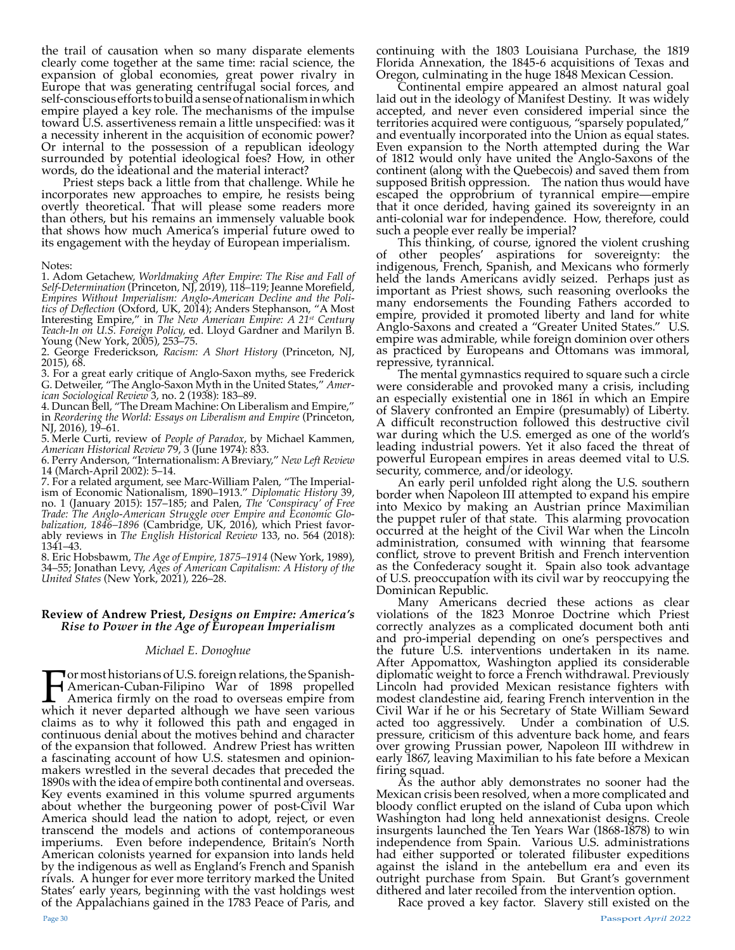the trail of causation when so many disparate elements clearly come together at the same time: racial science, the expansion of global economies, great power rivalry in Europe that was generating centrifugal social forces, and self-conscious efforts to build a sense of nationalism in which empire played a key role. The mechanisms of the impulse toward U.S. assertiveness remain a little unspecified: was it a necessity inherent in the acquisition of economic power? Or internal to the possession of a republican ideology surrounded by potential ideological foes? How, in other words, do the ideational and the material interact?

Priest steps back a little from that challenge. While he incorporates new approaches to empire, he resists being overtly theoretical. That will please some readers more than others, but his remains an immensely valuable book that shows how much America's imperial future owed to its engagement with the heyday of European imperialism.

#### Notes:

1. Adom Getachew, *Worldmaking After Empire: The Rise and Fall of Self-Determination* (Princeton, NJ, 2019), 118–119; Jeanne Morefield, *Empires Without Imperialism: Anglo-American Decline and the Politics of Deflection* (Oxford, UK, 2014); Anders Stephanson, "A Most Interesting Empire," in *The New American Empire: A 21st Century Teach-In on U.S. Foreign Policy,* ed. Lloyd Gardner and Marilyn B. Young (New York, 2005), 253–75.

2. George Frederickson, *Racism: A Short History* (Princeton, NJ, 2015), 68.

3. For a great early critique of Anglo-Saxon myths, see Frederick G. Detweiler, "The Anglo-Saxon Myth in the United States," *American Sociological Review* 3, no. 2 (1938): 183–89.

4. Duncan Bell, "The Dream Machine: On Liberalism and Empire," in *Reordering the World: Essays on Liberalism and Empire* (Princeton, NJ, 2016), 19–61.

5. Merle Curti, review of *People of Paradox*, by Michael Kammen, *American Historical Review* 79, 3 (June 1974): 833.

6. Perry Anderson, "Internationalism: A Breviary," *New Left Review* 14 (March-April 2002): 5–14.

7. For a related argument, see Marc-William Palen, "The Imperialism of Economic Nationalism, 1890–1913." *Diplomatic History* 39, no. 1 (January 2015): 157–185; and Palen, *The 'Conspiracy' of Free Trade: The Anglo-American Struggle over Empire and Economic Globalization, 1846–1896* (Cambridge, UK, 2016), which Priest favorably reviews in *The English Historical Review* 133, no. 564 (2018): 1341–43.

8. Eric Hobsbawm, *The Age of Empire, 1875–1914* (New York, 1989), 34–55; Jonathan Levy, *Ages of American Capitalism: A History of the United States* (New York, 2021), 226–28.

## **Review of Andrew Priest,** *Designs on Empire: America's Rise to Power in the Age of European Imperialism*

## *Michael E. Donoghue*

For most historians of U.S. foreign relations, the Spanish-America firmly on the road to overseas empire from which it never departed although we have seen various American-Cuban-Filipino War of 1898 propelled claims as to why it followed this path and engaged in continuous denial about the motives behind and character of the expansion that followed. Andrew Priest has written a fascinating account of how U.S. statesmen and opinionmakers wrestled in the several decades that preceded the 1890s with the idea of empire both continental and overseas. Key events examined in this volume spurred arguments about whether the burgeoning power of post-Civil War America should lead the nation to adopt, reject, or even transcend the models and actions of contemporaneous imperiums. Even before independence, Britain's North American colonists yearned for expansion into lands held by the indigenous as well as England's French and Spanish rivals. A hunger for ever more territory marked the United States' early years, beginning with the vast holdings west of the Appalachians gained in the 1783 Peace of Paris, and

continuing with the 1803 Louisiana Purchase, the 1819 Florida Annexation, the 1845-6 acquisitions of Texas and Oregon, culminating in the huge 1848 Mexican Cession.

Continental empire appeared an almost natural goal laid out in the ideology of Manifest Destiny. It was widely accepted, and never even considered imperial since the territories acquired were contiguous, "sparsely populated," and eventually incorporated into the Union as equal states. Even expansion to the North attempted during the War of 1812 would only have united the Anglo-Saxons of the continent (along with the Quebecois) and saved them from supposed British oppression. The nation thus would have escaped the opprobrium of tyrannical empire—empire that it once derided, having gained its sovereignty in an anti-colonial war for independence. How, therefore, could such a people ever really be imperial?

This thinking, of course, ignored the violent crushing of other peoples' aspirations for sovereignty: the indigenous, French, Spanish, and Mexicans who formerly held the lands Americans avidly seized. Perhaps just as important as Priest shows, such reasoning overlooks the many endorsements the Founding Fathers accorded to empire, provided it promoted liberty and land for white Anglo-Saxons and created a "Greater United States." U.S. empire was admirable, while foreign dominion over others as practiced by Europeans and Ottomans was immoral, repressive, tyrannical.

The mental gymnastics required to square such a circle were considerable and provoked many a crisis, including an especially existential one in 1861 in which an Empire of Slavery confronted an Empire (presumably) of Liberty. A difficult reconstruction followed this destructive civil war during which the U.S. emerged as one of the world's leading industrial powers. Yet it also faced the threat of powerful European empires in areas deemed vital to U.S. security, commerce, and/or ideology.

An early peril unfolded right along the U.S. southern border when Napoleon III attempted to expand his empire into Mexico by making an Austrian prince Maximilian the puppet ruler of that state. This alarming provocation occurred at the height of the Civil War when the Lincoln administration, consumed with winning that fearsome conflict, strove to prevent British and French intervention as the Confederacy sought it. Spain also took advantage of U.S. preoccupation with its civil war by reoccupying the

Many Americans decried these actions as clear violations of the 1823 Monroe Doctrine which Priest correctly analyzes as a complicated document both anti and pro-imperial depending on one's perspectives and the future U.S. interventions undertaken in its name. After Appomattox, Washington applied its considerable diplomatic weight to force a French withdrawal. Previously Lincoln had provided Mexican resistance fighters with modest clandestine aid, fearing French intervention in the Civil War if he or his Secretary of State William Seward acted too aggressively. Under a combination of U.S. pressure, criticism of this adventure back home, and fears over growing Prussian power, Napoleon III withdrew in early 1867, leaving Maximilian to his fate before a Mexican firing squad.

As the author ably demonstrates no sooner had the Mexican crisis been resolved, when a more complicated and bloody conflict erupted on the island of Cuba upon which Washington had long held annexationist designs. Creole insurgents launched the Ten Years War (1868-1878) to win independence from Spain. Various U.S. administrations had either supported or tolerated filibuster expeditions against the island in the antebellum era and even its outright purchase from Spain. But Grant's government

dithered and later recoiled from the intervention option. Race proved a key factor. Slavery still existed on the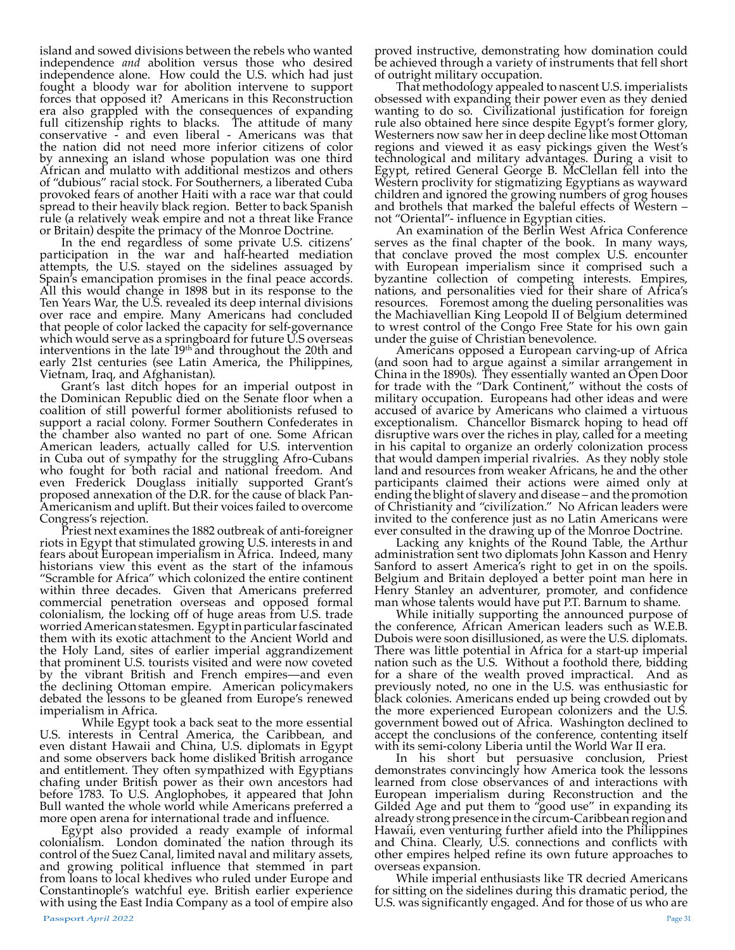island and sowed divisions between the rebels who wanted independence *and* abolition versus those who desired independence alone. How could the U.S. which had just fought a bloody war for abolition intervene to support forces that opposed it? Americans in this Reconstruction era also grappled with the consequences of expanding full citizenship rights to blacks. The attitude of many conservative - and even liberal - Americans was that the nation did not need more inferior citizens of color by annexing an island whose population was one third African and mulatto with additional mestizos and others of "dubious" racial stock. For Southerners, a liberated Cuba provoked fears of another Haiti with a race war that could spread to their heavily black region. Better to back Spanish rule (a relatively weak empire and not a threat like France or Britain) despite the primacy of the Monroe Doctrine.

In the end regardless of some private U.S. citizens' participation in the war and half-hearted mediation attempts, the U.S. stayed on the sidelines assuaged by Spain's emancipation promises in the final peace accords. All this would change in 1898 but in its response to the Ten Years War, the U.S. revealed its deep internal divisions over race and empire. Many Americans had concluded that people of color lacked the capacity for self-governance which would serve as a springboard for future U.S overseas interventions in the late  $19<sup>th</sup>$  and throughout the 20th and early 21st centuries (see Latin America, the Philippines, Vietnam, Iraq, and Afghanistan).

Grant's last ditch hopes for an imperial outpost in the Dominican Republic died on the Senate floor when a coalition of still powerful former abolitionists refused to support a racial colony. Former Southern Confederates in the chamber also wanted no part of one. Some African American leaders, actually called for U.S. intervention in Cuba out of sympathy for the struggling Afro-Cubans who fought for both racial and national freedom. And even Frederick Douglass initially supported Grant's proposed annexation of the D.R. for the cause of black Pan-Americanism and uplift. But their voices failed to overcome Congress's rejection.

Priest next examines the 1882 outbreak of anti-foreigner riots in Egypt that stimulated growing U.S. interests in and fears about European imperialism in Africa. Indeed, many historians view this event as the start of the infamous "Scramble for Africa" which colonized the entire continent within three decades. Given that Americans preferred commercial penetration overseas and opposed formal colonialism, the locking off of huge areas from U.S. trade worried American statesmen. Egypt in particular fascinated them with its exotic attachment to the Ancient World and the Holy Land, sites of earlier imperial aggrandizement that prominent U.S. tourists visited and were now coveted by the vibrant British and French empires—and even the declining Ottoman empire. American policymakers debated the lessons to be gleaned from Europe's renewed imperialism in Africa.

 While Egypt took a back seat to the more essential U.S. interests in Central America, the Caribbean, and even distant Hawaii and China, U.S. diplomats in Egypt and some observers back home disliked British arrogance and entitlement. They often sympathized with Egyptians chafing under British power as their own ancestors had before 1783. To U.S. Anglophobes, it appeared that John Bull wanted the whole world while Americans preferred a more open arena for international trade and influence.

Egypt also provided a ready example of informal colonialism. London dominated the nation through its control of the Suez Canal, limited naval and military assets, and growing political influence that stemmed in part from loans to local khedives who ruled under Europe and Constantinople's watchful eye. British earlier experience with using the East India Company as a tool of empire also

proved instructive, demonstrating how domination could be achieved through a variety of instruments that fell short of outright military occupation.

That methodology appealed to nascent U.S. imperialists obsessed with expanding their power even as they denied wanting to do so. Civilizational justification for foreign rule also obtained here since despite Egypt's former glory, Westerners now saw her in deep decline like most Ottoman regions and viewed it as easy pickings given the West's technological and military advantages. During a visit to Egypt, retired General George B. McClellan fell into the Western proclivity for stigmatizing Egyptians as wayward children and ignored the growing numbers of grog houses and brothels that marked the baleful effects of Western – not "Oriental"- influence in Egyptian cities.

An examination of the Berlin West Africa Conference serves as the final chapter of the book. In many ways, that conclave proved the most complex U.S. encounter with European imperialism since it comprised such a byzantine collection of competing interests. Empires, nations, and personalities vied for their share of Africa's resources. Foremost among the dueling personalities was the Machiavellian King Leopold II of Belgium determined to wrest control of the Congo Free State for his own gain under the guise of Christian benevolence.

under the guise of Christian benevolence. Americans opposed a European carving-up of Africa (and soon had to argue against a similar arrangement in China in the 1890s). They essentially wanted an Open Door for trade with the "Dark Continent," without the costs of military occupation. Europeans had other ideas and were accused of avarice by Americans who claimed a virtuous exceptionalism. Chancellor Bismarck hoping to head off disruptive wars over the riches in play, called for a meeting in his capital to organize an orderly colonization process that would dampen imperial rivalries. As they nobly stole land and resources from weaker Africans, he and the other participants claimed their actions were aimed only at ending the blight of slavery and disease – and the promotion of Christianity and "civilization." No African leaders were invited to the conference just as no Latin Americans were ever consulted in the drawing up of the Monroe Doctrine.

Lacking any knights of the Round Table, the Arthur administration sent two diplomats John Kasson and Henry Sanford to assert America's right to get in on the spoils. Belgium and Britain deployed a better point man here in Henry Stanley an adventurer, promoter, and confidence man whose talents would have put P.T. Barnum to shame.

While initially supporting the announced purpose of the conference, African American leaders such as W.E.B. Dubois were soon disillusioned, as were the U.S. diplomats. There was little potential in Africa for a start-up imperial nation such as the U.S. Without a foothold there, bidding for a share of the wealth proved impractical. And as previously noted, no one in the U.S. was enthusiastic for black colonies. Americans ended up being crowded out by the more experienced European colonizers and the U.S. government bowed out of Africa. Washington declined to accept the conclusions of the conference, contenting itself with its semi-colony Liberia until the World War II era.

In his short but persuasive conclusion, Priest demonstrates convincingly how America took the lessons learned from close observances of and interactions with European imperialism during Reconstruction and the Gilded Age and put them to "good use" in expanding its already strong presence in the circum-Caribbean region and Hawaii, even venturing further afield into the Philippines and China. Clearly, U.S. connections and conflicts with other empires helped refine its own future approaches to overseas expansion.

While imperial enthusiasts like TR decried Americans for sitting on the sidelines during this dramatic period, the U.S. was significantly engaged. And for those of us who are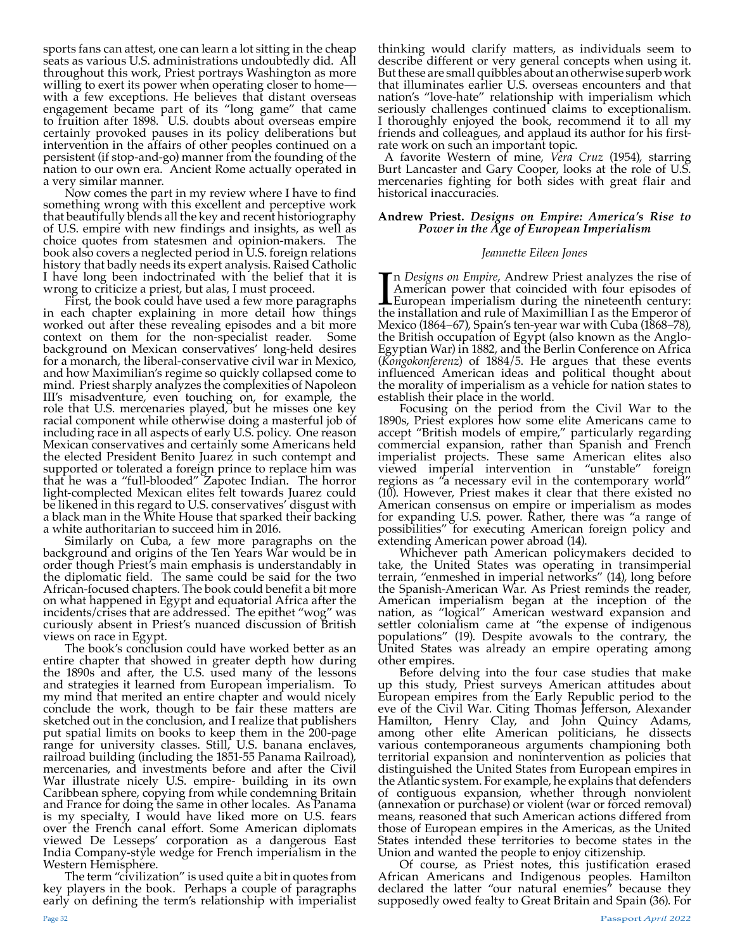sports fans can attest, one can learn a lot sitting in the cheap seats as various U.S. administrations undoubtedly did. All throughout this work, Priest portrays Washington as more willing to exert its power when operating closer to homewith a few exceptions. He believes that distant overseas engagement became part of its "long game" that came to fruition after 1898. U.S. doubts about overseas empire certainly provoked pauses in its policy deliberations but intervention in the affairs of other peoples continued on a persistent (if stop-and-go) manner from the founding of the nation to our own era. Ancient Rome actually operated in a very similar manner.

Now comes the part in my review where I have to find something wrong with this excellent and perceptive work that beautifully blends all the key and recent historiography of U.S. empire with new findings and insights, as well as choice quotes from statesmen and opinion-makers. The book also covers a neglected period in U.S. foreign relations history that badly needs its expert analysis. Raised Catholic I have long been indoctrinated with the belief that it is wrong to criticize a priest, but alas, I must proceed.

First, the book could have used a few more paragraphs in each chapter explaining in more detail how things worked out after these revealing episodes and a bit more context on them for the non-specialist reader. Some background on Mexican conservatives' long-held desires for a monarch, the liberal-conservative civil war in Mexico, and how Maximilian's regime so quickly collapsed come to mind. Priest sharply analyzes the complexities of Napoleon III's misadventure, even touching on, for example, the role that U.S. mercenaries played, but he misses one key racial component while otherwise doing a masterful job of including race in all aspects of early U.S. policy. One reason Mexican conservatives and certainly some Americans held the elected President Benito Juarez in such contempt and supported or tolerated a foreign prince to replace him was that he was a "full-blooded" Zapotec Indian. The horror light-complected Mexican elites felt towards Juarez could be likened in this regard to U.S. conservatives' disgust with a black man in the White House that sparked their backing a white authoritarian to succeed him in 2016.

Similarly on Cuba, a few more paragraphs on the background and origins of the Ten Years War would be in order though Priest's main emphasis is understandably in the diplomatic field. The same could be said for the two African-focused chapters. The book could benefit a bit more on what happened in Egypt and equatorial Africa after the incidents/crises that are addressed. The epithet "wog" was curiously absent in Priest's nuanced discussion of British views on race in Egypt.

The book's conclusion could have worked better as an entire chapter that showed in greater depth how during the 1890s and after, the U.S. used many of the lessons and strategies it learned from European imperialism. To my mind that merited an entire chapter and would nicely conclude the work, though to be fair these matters are sketched out in the conclusion, and I realize that publishers put spatial limits on books to keep them in the 200-page range for university classes. Still, U.S. banana enclaves, railroad building (including the 1851-55 Panama Railroad), mercenaries, and investments before and after the Civil War illustrate nicely U.S. empire- building in its own Caribbean sphere, copying from while condemning Britain and France for doing the same in other locales. As Panama is my specialty, I would have liked more on U.S. fears over the French canal effort. Some American diplomats viewed De Lesseps' corporation as a dangerous East India Company-style wedge for French imperialism in the Western Hemisphere.

The term "civilization" is used quite a bit in quotes from key players in the book. Perhaps a couple of paragraphs early on defining the term's relationship with imperialist

thinking would clarify matters, as individuals seem to describe different or very general concepts when using it. But these are small quibbles about an otherwise superb work that illuminates earlier U.S. overseas encounters and that nation's "love-hate" relationship with imperialism which seriously challenges continued claims to exceptionalism. I thoroughly enjoyed the book, recommend it to all my friends and colleagues, and applaud its author for his firstrate work on such an important topic.

 A favorite Western of mine, *Vera Cruz* (1954), starring Burt Lancaster and Gary Cooper, looks at the role of U.S. mercenaries fighting for both sides with great flair and historical inaccuracies.

# **Andrew Priest.** *Designs on Empire: America's Rise to Power in the Age of European Imperialism*

# *Jeannette Eileen Jones*

In *Designs on Empire*, Andrew Priest analyzes the rise of American power that coincided with four episodes of European imperialism during the nineteenth century: the installation and rule of Maximillian I as the Emperor o n *Designs on Empire*, Andrew Priest analyzes the rise of American power that coincided with four episodes of **L** European imperialism during the nineteenth century: Mexico (1864–67), Spain's ten-year war with Cuba (1868–78), the British occupation of Egypt (also known as the Anglo-Egyptian War) in 1882, and the Berlin Conference on Africa (*Kongokonferenz*) of 1884/5. He argues that these events influenced American ideas and political thought about the morality of imperialism as a vehicle for nation states to establish their place in the world.

Focusing on the period from the Civil War to the 1890s, Priest explores how some elite Americans came to accept "British models of empire," particularly regarding commercial expansion, rather than Spanish and French imperialist projects. These same American elites also viewed imperial intervention in "unstable" foreign regions as "a necessary evil in the contemporary world" (10). However, Priest makes it clear that there existed no American consensus on empire or imperialism as modes for expanding U.S. power. Rather, there was "a range of possibilities" for executing American foreign policy and extending American power abroad (14).

Whichever path American policymakers decided to take, the United States was operating in transimperial terrain, "enmeshed in imperial networks" (14), long before the Spanish-American War. As Priest reminds the reader, American imperialism began at the inception of the nation, as "logical" American westward expansion and settler colonialism came at "the expense of indigenous populations" (19). Despite avowals to the contrary, the United States was already an empire operating among other empires.

Before delving into the four case studies that make up this study, Priest surveys American attitudes about European empires from the Early Republic period to the eve of the Civil War. Citing Thomas Jefferson, Alexander Hamilton, Henry Clay, and John Quincy Adams, among other elite American politicians, he dissects various contemporaneous arguments championing both territorial expansion and nonintervention as policies that distinguished the United States from European empires in the Atlantic system. For example, he explains that defenders of contiguous expansion, whether through nonviolent (annexation or purchase) or violent (war or forced removal) means, reasoned that such American actions differed from those of European empires in the Americas, as the United States intended these territories to become states in the Union and wanted the people to enjoy citizenship.

Of course, as Priest notes, this justification erased African Americans and Indigenous peoples. Hamilton declared the latter "our natural enemies" because they supposedly owed fealty to Great Britain and Spain (36). For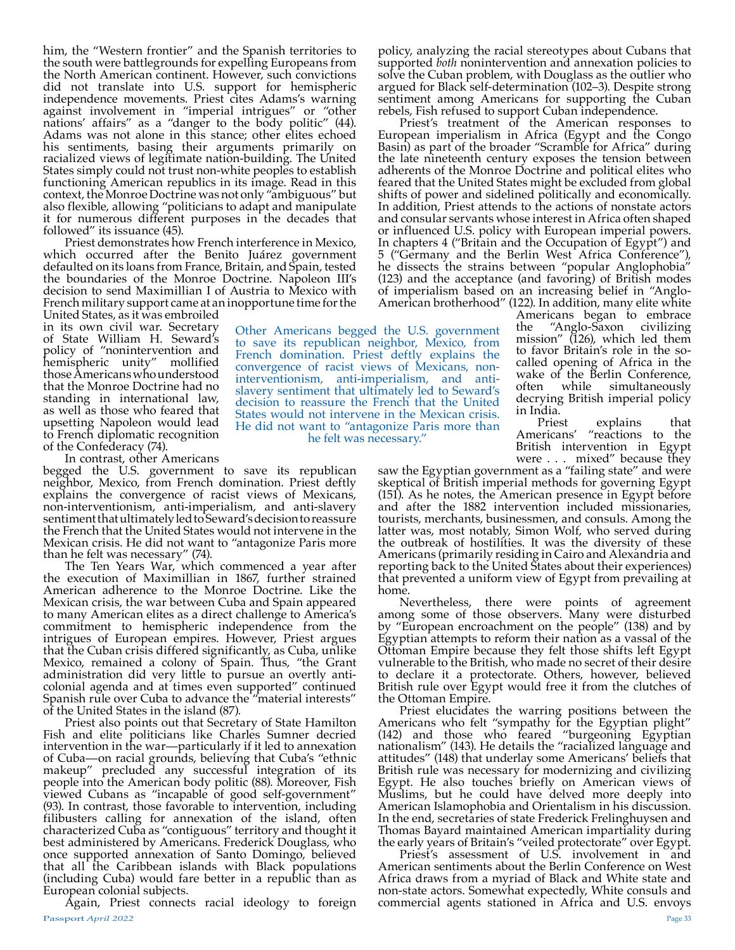him, the "Western frontier" and the Spanish territories to the south were battlegrounds for expelling Europeans from the North American continent. However, such convictions did not translate into U.S. support for hemispheric independence movements. Priest cites Adams's warning against involvement in "imperial intrigues" or "other nations' affairs" as a "danger to the body politic" (44). Adams was not alone in this stance; other elites echoed his sentiments, basing their arguments primarily on racialized views of legitimate nation-building. The United States simply could not trust non-white peoples to establish functioning American republics in its image. Read in this context, the Monroe Doctrine was not only "ambiguous" but also flexible, allowing "politicians to adapt and manipulate it for numerous different purposes in the decades that followed" its issuance (45).

Priest demonstrates how French interference in Mexico, which occurred after the Benito Juárez government defaulted on its loans from France, Britain, and Spain, tested the boundaries of the Monroe Doctrine. Napoleon III's decision to send Maximillian I of Austria to Mexico with French military support came at an inopportune time for the

United States, as it was embroiled in its own civil war. Secretary of State William H. Seward's policy of "nonintervention and hemispheric unity" mollified those Americans who understood that the Monroe Doctrine had no standing in international law, as well as those who feared that upsetting Napoleon would lead to French diplomatic recognition of the Confederacy (74).

In contrast, other Americans

begged the U.S. government to save its republican neighbor, Mexico, from French domination. Priest deftly explains the convergence of racist views of Mexicans, non-interventionism, anti-imperialism, and anti-slavery sentiment that ultimately led to Seward's decision to reassure the French that the United States would not intervene in the Mexican crisis. He did not want to "antagonize Paris more than he felt was necessary" (74).

he felt was necessary."

The Ten Years War, which commenced a year after the execution of Maximillian in 1867, further strained American adherence to the Monroe Doctrine. Like the Mexican crisis, the war between Cuba and Spain appeared to many American elites as a direct challenge to America's commitment to hemispheric independence from the intrigues of European empires. However, Priest argues that the Cuban crisis differed significantly, as Cuba, unlike Mexico, remained a colony of Spain. Thus, "the Grant administration did very little to pursue an overtly anticolonial agenda and at times even supported" continued Spanish rule over Cuba to advance the "material interests"

of the United States in the island (87). Fish and elite politicians like Charles Sumner decried intervention in the war—particularly if it led to annexation of Cuba—on racial grounds, believing that Cuba's "ethnic makeup" precluded any successful integration of its people into the American body politic (88). Moreover, Fish viewed Cubans as "incapable of good self-government" (93). In contrast, those favorable to intervention, including filibusters calling for annexation of the island, often characterized Cuba as "contiguous" territory and thought it best administered by Americans. Frederick Douglass, who once supported annexation of Santo Domingo, believed that all the Caribbean islands with Black populations (including Cuba) would fare better in a republic than as European colonial subjects.

Passport *April 2022* Page 33 Again, Priest connects racial ideology to foreign

policy, analyzing the racial stereotypes about Cubans that supported *both* nonintervention and annexation policies to solve the Cuban problem, with Douglass as the outlier who argued for Black self-determination (102–3). Despite strong sentiment among Americans for supporting the Cuban rebels, Fish refused to support Cuban independence.

Priest's treatment of the American responses to European imperialism in Africa (Egypt and the Congo Basin) as part of the broader "Scramble for Africa" during the late nineteenth century exposes the tension between adherents of the Monroe Doctrine and political elites who feared that the United States might be excluded from global shifts of power and sidelined politically and economically. In addition, Priest attends to the actions of nonstate actors and consular servants whose interest in Africa often shaped or influenced U.S. policy with European imperial powers. In chapters 4 ("Britain and the Occupation of Egypt") and 5 ("Germany and the Berlin West Africa Conference"), he dissects the strains between "popular Anglophobia" (123) and the acceptance (and favoring) of British modes of imperialism based on an increasing belief in "Anglo-American brotherhood" (122). In addition, many elite white

Americans began to embrace<br>the "Anglo-Saxon civilizing "Anglo-Saxon civilizing mission" (126), which led them to favor Britain's role in the socalled opening of Africa in the wake of the Berlin Conference, often while simultaneously decrying British imperial policy in India. Other Americans begged the U.S. government to save its republican neighbor, Mexico, from French domination. Priest deftly explains the convergence of racist views of Mexicans, noninterventionism, anti-imperialism, and antislavery sentiment that ultimately led to Seward's decision to reassure the French that the United States would not intervene in the Mexican crisis. He did not want to "antagonize Paris more than

Priest explains that Americans' "reactions to the British intervention in Egypt were . . . mixed" because they

saw the Egyptian government as a "failing state" and were skeptical of British imperial methods for governing Egypt (151). As he notes, the American presence in Egypt before and after the 1882 intervention included missionaries, tourists, merchants, businessmen, and consuls. Among the latter was, most notably, Simon Wolf, who served during the outbreak of hostilities. It was the diversity of these Americans (primarily residing in Cairo and Alexandria and reporting back to the United States about their experiences) that prevented a uniform view of Egypt from prevailing at

home.<br>Nevertheless, there were points of agreement among some of those observers. Many were disturbed by "European encroachment on the people" (138) and by Egyptian attempts to reform their nation as a vassal of the Ottoman Empire because they felt those shifts left Egypt vulnerable to the British, who made no secret of their desire to declare it a protectorate. Others, however, believed British rule over Egypt would free it from the clutches of

Priest elucidates the warring positions between the Americans who felt "sympathy for the Egyptian plight" (142) and those who feared "burgeoning Egyptian nationalism" (143). He details the "racialized language and attitudes" (148) that underlay some Americans' beliefs that British rule was necessary for modernizing and civilizing Egypt. He also touches briefly on American views of Muslims, but he could have delved more deeply into American Islamophobia and Orientalism in his discussion. In the end, secretaries of state Frederick Frelinghuysen and Thomas Bayard maintained American impartiality during the early years of Britain's "veiled protectorate" over Egypt.

Priest's assessment of U.S. involvement in and American sentiments about the Berlin Conference on West Africa draws from a myriad of Black and White state and non-state actors. Somewhat expectedly, White consuls and commercial agents stationed in Africa and U.S. envoys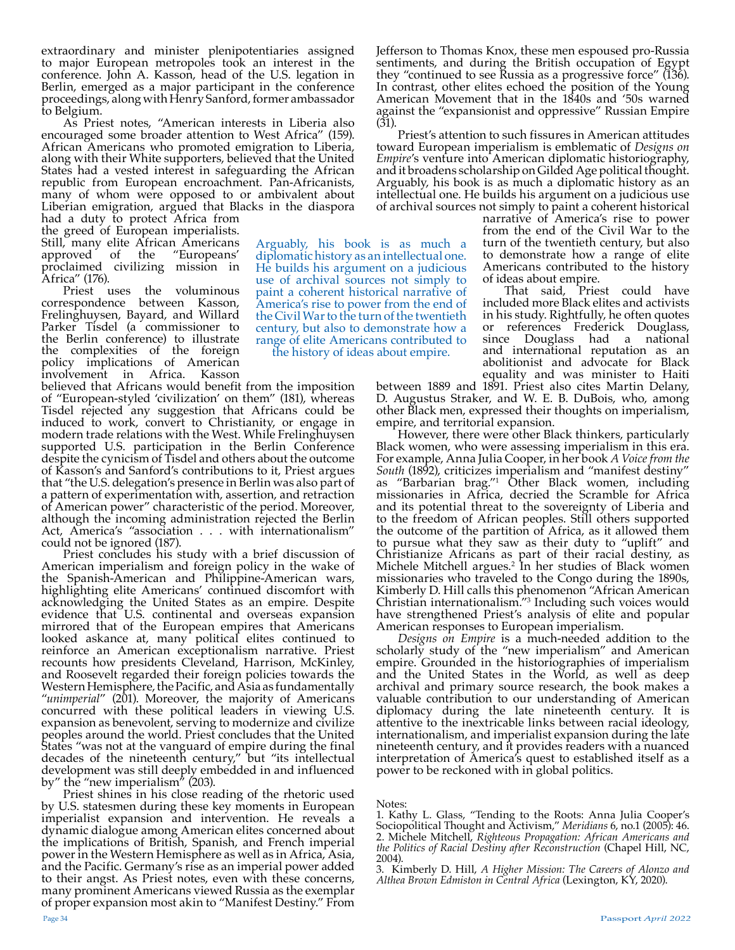extraordinary and minister plenipotentiaries assigned to major European metropoles took an interest in the conference. John A. Kasson, head of the U.S. legation in Berlin, emerged as a major participant in the conference proceedings, along with Henry Sanford, former ambassador to Belgium.

As Priest notes, "American interests in Liberia also encouraged some broader attention to West Africa" (159). African Americans who promoted emigration to Liberia, along with their White supporters, believed that the United States had a vested interest in safeguarding the African republic from European encroachment. Pan-Africanists, many of whom were opposed to or ambivalent about Liberian emigration, argued that Blacks in the diaspora

had a duty to protect Africa from the greed of European imperialists. Still, many elite African Americans<br>approved of the "Europeans' approved of the proclaimed civilizing mission in Africa" (176).

Priest uses the voluminous correspondence between Kasson, Frelinghuysen, Bayard, and Willard Parker Tisdel (a commissioner to the Berlin conference) to illustrate the complexities of the foreign policy implications of American involvement in Africa. Kasson

believed that Africans would benefit from the imposition of "European-styled 'civilization' on them" (181), whereas Tisdel rejected any suggestion that Africans could be induced to work, convert to Christianity, or engage in modern trade relations with the West. While Frelinghuysen supported U.S. participation in the Berlin Conference despite the cynicism of Tisdel and others about the outcome of Kasson's and Sanford's contributions to it, Priest argues that "the U.S. delegation's presence in Berlin was also part of a pattern of experimentation with, assertion, and retraction of American power" characteristic of the period. Moreover, although the incoming administration rejected the Berlin Act, America's "association . . . with internationalism"

could not be ignored (187).<br>Priest concludes his study with a brief discussion of American imperialism and foreign policy in the wake of the Spanish-American and Philippine-American wars, highlighting elite Americans' continued discomfort with acknowledging the United States as an empire. Despite evidence that U.S. continental and overseas expansion mirrored that of the European empires that Americans looked askance at, many political elites continued to reinforce an American exceptionalism narrative. Priest recounts how presidents Cleveland, Harrison, McKinley, and Roosevelt regarded their foreign policies towards the Western Hemisphere, the Pacific, and Asia as fundamentally<br>"unimperial" (201). Moreover, the majority of Americans concurred with these political leaders in viewing U.S. expansion as benevolent, serving to modernize and civilize peoples around the world. Priest concludes that the United States "was not at the vanguard of empire during the final decades of the nineteenth century," but "its intellectual development was still deeply embedded in and influenced by" the "new imperialism" (203).

Priest shines in his close reading of the rhetoric used by U.S. statesmen during these key moments in European imperialist expansion and intervention. He reveals a dynamic dialogue among American elites concerned about the implications of British, Spanish, and French imperial power in the Western Hemisphere as well as in Africa, Asia, and the Pacific. Germany's rise as an imperial power added to their angst. As Priest notes, even with these concerns, many prominent Americans viewed Russia as the exemplar of proper expansion most akin to "Manifest Destiny." From

Arguably, his book is as much a diplomatic history as an intellectual one. He builds his argument on a judicious use of archival sources not simply to paint a coherent historical narrative of America's rise to power from the end of the Civil War to the turn of the twentieth century, but also to demonstrate how a range of elite Americans contributed to

the history of ideas about empire.

Jefferson to Thomas Knox, these men espoused pro-Russia sentiments, and during the British occupation of Egypt they "continued to see Russia as a progressive force" (136). In contrast, other elites echoed the position of the Young American Movement that in the 1840s and '50s warned against the "expansionist and oppressive" Russian Empire (31).

Priest's attention to such fissures in American attitudes toward European imperialism is emblematic of *Designs on Empire*'s venture into American diplomatic historiography, and it broadens scholarship on Gilded Age political thought. Arguably, his book is as much a diplomatic history as an intellectual one. He builds his argument on a judicious use of archival sources not simply to paint a coherent historical

narrative of America's rise to power from the end of the Civil War to the turn of the twentieth century, but also to demonstrate how a range of elite Americans contributed to the history of ideas about empire.

That said, Priest could have included more Black elites and activists in his study. Rightfully, he often quotes or references Frederick Douglass, since Douglass had a national and international reputation as an abolitionist and advocate for Black equality and was minister to Haiti

between 1889 and 1891. Priest also cites Martin Delany, D. Augustus Straker, and W. E. B. DuBois, who, among other Black men, expressed their thoughts on imperialism, empire, and territorial expansion.

However, there were other Black thinkers, particularly Black women, who were assessing imperialism in this era. For example, Anna Julia Cooper, in her book *A Voice from the South* (1892), criticizes imperialism and "manifest destiny" as "Barbarian brag."1 Other Black women, including missionaries in Africa, decried the Scramble for Africa and its potential threat to the sovereignty of Liberia and to the freedom of African peoples. Still others supported the outcome of the partition of Africa, as it allowed them to pursue what they saw as their duty to "uplift" and Christianize Africans as part of their racial destiny, as Michele Mitchell argues.2 In her studies of Black women missionaries who traveled to the Congo during the 1890s, Kimberly D. Hill calls this phenomenon "African American Christian internationalism."3 Including such voices would have strengthened Priest's analysis of elite and popular American responses to European imperialism.

*Designs on Empire* is a much-needed addition to the scholarly study of the "new imperialism" and American empire. Grounded in the historiographies of imperialism and the United States in the World, as well as deep archival and primary source research, the book makes a valuable contribution to our understanding of American diplomacy during the late nineteenth century. It is attentive to the inextricable links between racial ideology, internationalism, and imperialist expansion during the late nineteenth century, and it provides readers with a nuanced interpretation of America's quest to established itself as a power to be reckoned with in global politics.

Notes:

3. Kimberly D. Hill, *A Higher Mission: The Careers of Alonzo and Althea Brown Edmiston in Central Africa* (Lexington, KY, 2020).

<sup>1.</sup> Kathy L. Glass, "Tending to the Roots: Anna Julia Cooper's Sociopolitical Thought and Activism," *Meridians* 6, no.1 (2005): 46. 2. Michele Mitchell, *Righteous Propagation: African Americans and the Politics of Racial Destiny after Reconstruction* (Chapel Hill, NC, 2004).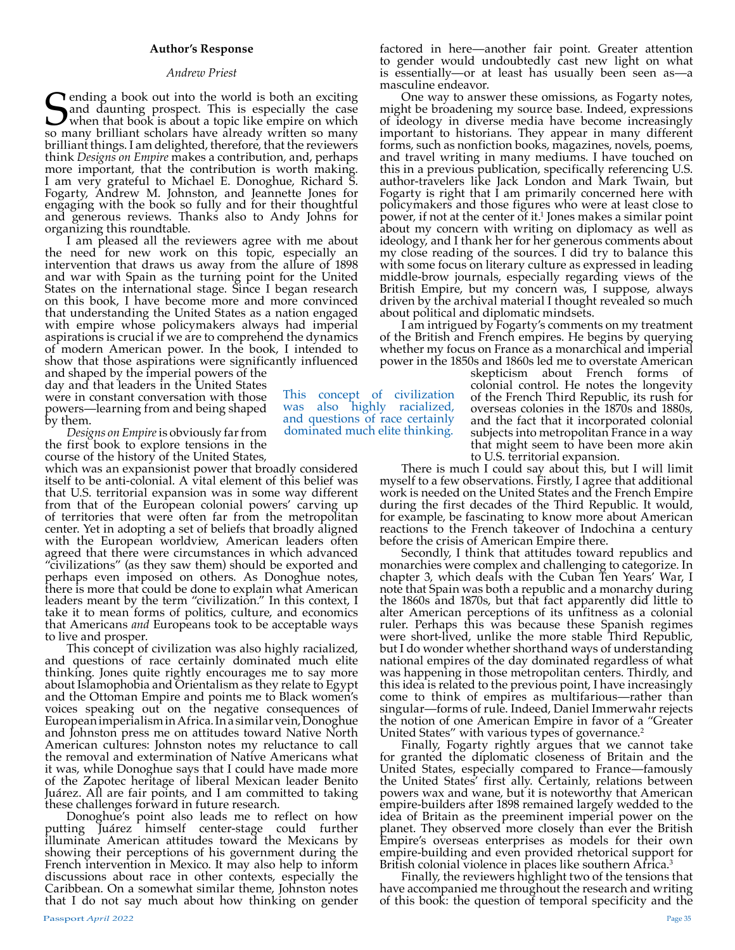## **Author's Response**

## *Andrew Priest*

**S**ending a book out into the world is both an exciting and daunting prospect. This is especially the case when that book is about a topic like empire on which so many brilliant scholars have already written so many and daunting prospect. This is especially the case when that book is about a topic like empire on which so many brilliant scholars have already written so many brilliant things. I am delighted, therefore, that the reviewers think *Designs on Empire* makes a contribution, and, perhaps more important, that the contribution is worth making. I am very grateful to Michael E. Donoghue, Richard S. Fogarty, Andrew M. Johnston, and Jeannette Jones for engaging with the book so fully and for their thoughtful and generous reviews. Thanks also to Andy Johns for organizing this roundtable.

I am pleased all the reviewers agree with me about the need for new work on this topic, especially an intervention that draws us away from the allure of 1898 and war with Spain as the turning point for the United States on the international stage. Since I began research on this book, I have become more and more convinced that understanding the United States as a nation engaged with empire whose policymakers always had imperial aspirations is crucial if we are to comprehend the dynamics of modern American power. In the book, I intended to show that those aspirations were significantly influenced

and shaped by the imperial powers of the day and that leaders in the United States were in constant conversation with those powers—learning from and being shaped by them.

*Designs on Empire* is obviously far from the first book to explore tensions in the course of the history of the United States,

which was an expansionist power that broadly considered itself to be anti-colonial. A vital element of this belief was that U.S. territorial expansion was in some way different from that of the European colonial powers' carving up of territories that were often far from the metropolitan center. Yet in adopting a set of beliefs that broadly aligned with the European worldview, American leaders often agreed that there were circumstances in which advanced "civilizations" (as they saw them) should be exported and perhaps even imposed on others. As Donoghue notes, there is more that could be done to explain what American leaders meant by the term "civilization." In this context, I take it to mean forms of politics, culture, and economics that Americans *and* Europeans took to be acceptable ways<br>to live and prosper.<br>This concept of civilization was also highly racialized,<br>and questions of race certainly dominated much elite

thinking. Jones quite rightly encourages me to say more about Islamophobia and Orientalism as they relate to Egypt and the Ottoman Empire and points me to Black women's voices speaking out on the negative consequences of European imperialism in Africa. In a similar vein, Donoghue and Johnston press me on attitudes toward Native North American cultures: Johnston notes my reluctance to call the removal and extermination of Native Americans what it was, while Donoghue says that I could have made more of the Zapotec heritage of liberal Mexican leader Benito Juárez. All are fair points, and I am committed to taking these challenges forward in future research.

Donoghue's point also leads me to reflect on how putting Juárez himself center-stage could further illuminate American attitudes toward the Mexicans by showing their perceptions of his government during the French intervention in Mexico. It may also help to inform discussions about race in other contexts, especially the Caribbean. On a somewhat similar theme, Johnston notes that I do not say much about how thinking on gender

This concept of civilization was also highly racialized, and questions of race certainly dominated much elite thinking.

factored in here—another fair point. Greater attention to gender would undoubtedly cast new light on what is essentially—or at least has usually been seen asmasculine endeavor.

One way to answer these omissions, as Fogarty notes, might be broadening my source base. Indeed, expressions of ideology in diverse media have become increasingly important to historians. They appear in many different forms, such as nonfiction books, magazines, novels, poems, and travel writing in many mediums. I have touched on this in a previous publication, specifically referencing U.S. author-travelers like Jack London and Mark Twain, but Fogarty is right that I am primarily concerned here with policymakers and those figures who were at least close to power, if not at the center of it.1 Jones makes a similar point about my concern with writing on diplomacy as well as ideology, and I thank her for her generous comments about my close reading of the sources. I did try to balance this with some focus on literary culture as expressed in leading middle-brow journals, especially regarding views of the British Empire, but my concern was, I suppose, always driven by the archival material I thought revealed so much about political and diplomatic mindsets.

I am intrigued by Fogarty's comments on my treatment of the British and French empires. He begins by querying whether my focus on France as a monarchical and imperial power in the 1850s and 1860s led me to overstate American

skepticism about French forms of colonial control. He notes the longevity of the French Third Republic, its rush for overseas colonies in the 1870s and 1880s, and the fact that it incorporated colonial subjects into metropolitan France in a way that might seem to have been more akin to U.S. territorial expansion.

There is much I could say about this, but I will limit myself to a few observations. Firstly, I agree that additional work is needed on the United States and the French Empire during the first decades of the Third Republic. It would, for example, be fascinating to know more about American reactions to the French takeover of Indochina a century before the crisis of American Empire there.

Secondly, I think that attitudes toward republics and monarchies were complex and challenging to categorize. In chapter 3, which deals with the Cuban Ten Years' War, I note that Spain was both a republic and a monarchy during the 1860s and 1870s, but that fact apparently did little to alter American perceptions of its unfitness as a colonial ruler. Perhaps this was because these Spanish regimes were short-lived, unlike the more stable Third Republic, but I do wonder whether shorthand ways of understanding national empires of the day dominated regardless of what was happening in those metropolitan centers. Thirdly, and this idea is related to the previous point, I have increasingly come to think of empires as multifarious—rather than singular—forms of rule. Indeed, Daniel Immerwahr rejects the notion of one American Empire in favor of a "Greater

United States" with various types of governance.<sup>2</sup><br>Finally, Fogarty rightly argues that we cannot take for granted the diplomatic closeness of Britain and the United States, especially compared to France—famously the United States' first ally. Certainly, relations between powers wax and wane, but it is noteworthy that American empire-builders after 1898 remained largely wedded to the idea of Britain as the preeminent imperial power on the planet. They observed more closely than ever the British Empire's overseas enterprises as models for their own empire-building and even provided rhetorical support for British colonial violence in places like southern Africa.<sup>3</sup>

Finally, the reviewers highlight two of the tensions that have accompanied me throughout the research and writing of this book: the question of temporal specificity and the